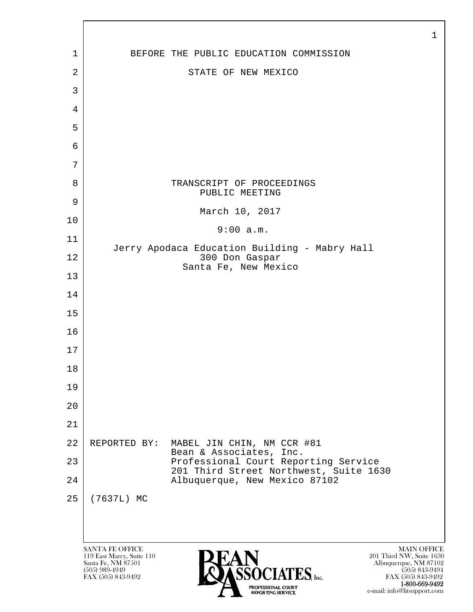|    |                                                                                                                                                                                                                                                                                                  | $\mathbf 1$ |
|----|--------------------------------------------------------------------------------------------------------------------------------------------------------------------------------------------------------------------------------------------------------------------------------------------------|-------------|
| 1  | BEFORE THE PUBLIC EDUCATION COMMISSION                                                                                                                                                                                                                                                           |             |
| 2  | STATE OF NEW MEXICO                                                                                                                                                                                                                                                                              |             |
| 3  |                                                                                                                                                                                                                                                                                                  |             |
| 4  |                                                                                                                                                                                                                                                                                                  |             |
| 5  |                                                                                                                                                                                                                                                                                                  |             |
| 6  |                                                                                                                                                                                                                                                                                                  |             |
| 7  |                                                                                                                                                                                                                                                                                                  |             |
| 8  | TRANSCRIPT OF PROCEEDINGS<br>PUBLIC MEETING                                                                                                                                                                                                                                                      |             |
| 9  | March 10, 2017                                                                                                                                                                                                                                                                                   |             |
| 10 | 9:00 a.m.                                                                                                                                                                                                                                                                                        |             |
| 11 |                                                                                                                                                                                                                                                                                                  |             |
| 12 | Jerry Apodaca Education Building - Mabry Hall<br>300 Don Gaspar<br>Santa Fe, New Mexico                                                                                                                                                                                                          |             |
| 13 |                                                                                                                                                                                                                                                                                                  |             |
| 14 |                                                                                                                                                                                                                                                                                                  |             |
| 15 |                                                                                                                                                                                                                                                                                                  |             |
| 16 |                                                                                                                                                                                                                                                                                                  |             |
| 17 |                                                                                                                                                                                                                                                                                                  |             |
| 18 |                                                                                                                                                                                                                                                                                                  |             |
| 19 |                                                                                                                                                                                                                                                                                                  |             |
| 20 |                                                                                                                                                                                                                                                                                                  |             |
| 21 |                                                                                                                                                                                                                                                                                                  |             |
| 22 | MABEL JIN CHIN, NM CCR #81<br>REPORTED BY:                                                                                                                                                                                                                                                       |             |
| 23 | Bean & Associates, Inc.<br>Professional Court Reporting Service                                                                                                                                                                                                                                  |             |
| 24 | 201 Third Street Northwest, Suite 1630<br>Albuquerque, New Mexico 87102                                                                                                                                                                                                                          |             |
| 25 | (7637L) MC                                                                                                                                                                                                                                                                                       |             |
|    |                                                                                                                                                                                                                                                                                                  |             |
|    |                                                                                                                                                                                                                                                                                                  |             |
|    | <b>SANTA FE OFFICE</b><br><b>MAIN OFFICE</b><br>201 Third NW, Suite 1630<br>119 East Marcy, Suite 110<br>Santa Fe, NM 87501<br>Albuquerque, NM 87102<br>$(505)$ 989-4949<br>$(505)$ 843-9494<br><b>IATES</b> , Inc.<br>FAX (505) 843-9492<br>FAX (505) 843-9492<br>1-800-669-9492<br>WALTERIANAE |             |

e-mail: info@litsupport.com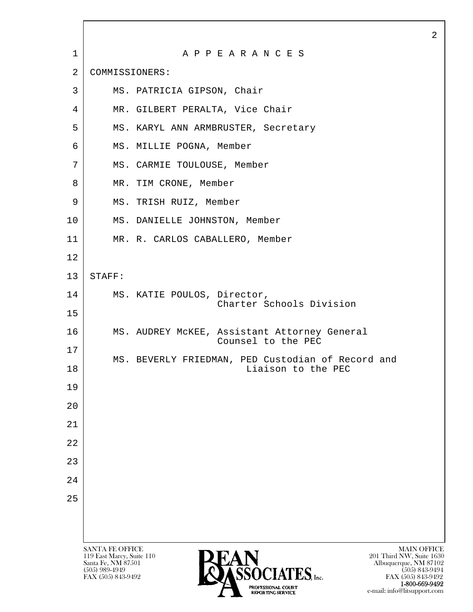|              |                                                                                                                                                                                   | 2 |
|--------------|-----------------------------------------------------------------------------------------------------------------------------------------------------------------------------------|---|
| $\mathbf{1}$ | A P P E A R A N C E S                                                                                                                                                             |   |
| 2            | COMMISSIONERS:                                                                                                                                                                    |   |
| 3            | MS. PATRICIA GIPSON, Chair                                                                                                                                                        |   |
| 4            | MR. GILBERT PERALTA, Vice Chair                                                                                                                                                   |   |
| 5            | MS. KARYL ANN ARMBRUSTER, Secretary                                                                                                                                               |   |
| 6            | MS. MILLIE POGNA, Member                                                                                                                                                          |   |
| 7            | MS. CARMIE TOULOUSE, Member                                                                                                                                                       |   |
| 8            | MR. TIM CRONE, Member                                                                                                                                                             |   |
| 9            | MS. TRISH RUIZ, Member                                                                                                                                                            |   |
| 10           | MS. DANIELLE JOHNSTON, Member                                                                                                                                                     |   |
| 11           | MR. R. CARLOS CABALLERO, Member                                                                                                                                                   |   |
| 12           |                                                                                                                                                                                   |   |
| 13           | STAFF:                                                                                                                                                                            |   |
| 14           | MS. KATIE POULOS, Director,<br>Charter Schools Division                                                                                                                           |   |
| 15           |                                                                                                                                                                                   |   |
| 16           | MS. AUDREY MCKEE, Assistant Attorney General<br>Counsel to the PEC                                                                                                                |   |
| 17<br>18     | MS. BEVERLY FRIEDMAN, PED Custodian of Record and<br>Liaison to the PEC                                                                                                           |   |
| 19           |                                                                                                                                                                                   |   |
| 20           |                                                                                                                                                                                   |   |
| 21           |                                                                                                                                                                                   |   |
| 22           |                                                                                                                                                                                   |   |
| 23           |                                                                                                                                                                                   |   |
| 24           |                                                                                                                                                                                   |   |
| 25           |                                                                                                                                                                                   |   |
|              |                                                                                                                                                                                   |   |
|              |                                                                                                                                                                                   |   |
|              | <b>SANTA FE OFFICE</b><br><b>MAIN OFFICE</b><br>201 Third NW, Suite 1630<br>119 East Marcy, Suite 110                                                                             |   |
|              | <b>PEAN</b><br><b><i>OASSOCIATES, Inc.</i></b><br>Santa Fe, NM 87501<br>Albuquerque, NM 87102<br>$(505)$ 989-4949<br>$(505)$ 843-9494<br>FAX (505) 843-9492<br>FAX (505) 843-9492 |   |

**1-800-669-9492**<br> **EXALTERIONAL CN BT** e-mail: info@litsupport.com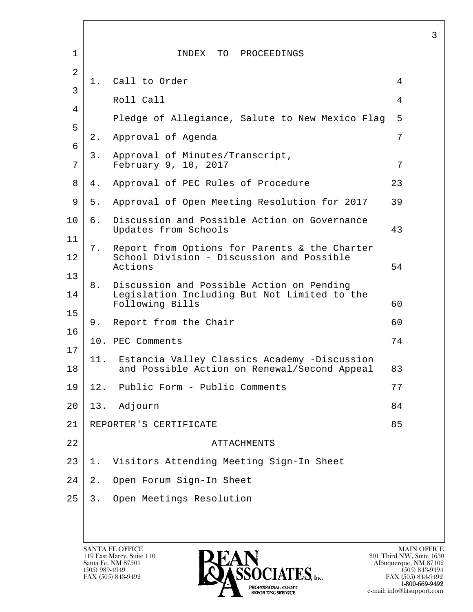| 1        |       | INDEX TO PROCEEDINGS                                                                                         |    |
|----------|-------|--------------------------------------------------------------------------------------------------------------|----|
| 2        | 1.    | Call to Order                                                                                                | 4  |
| 3<br>4   |       | Roll Call                                                                                                    | 4  |
| 5        |       | Pledge of Allegiance, Salute to New Mexico Flag                                                              | 5  |
| 6        | 2.    | Approval of Agenda                                                                                           | 7  |
| 7        | 3.    | Approval of Minutes/Transcript,<br>February 9, 10, 2017                                                      | 7  |
| 8        | 4.    | Approval of PEC Rules of Procedure                                                                           | 23 |
| 9        | 5.    | Approval of Open Meeting Resolution for 2017                                                                 | 39 |
| 10       | б.    | Discussion and Possible Action on Governance<br>Updates from Schools                                         | 43 |
| 11<br>12 | 7.    | Report from Options for Parents & the Charter<br>School Division - Discussion and Possible<br>Actions        | 54 |
| 13<br>14 | 8.    | Discussion and Possible Action on Pending<br>Legislation Including But Not Limited to the<br>Following Bills | 60 |
| 15       | 9.    | Report from the Chair                                                                                        | 60 |
| 16       |       | 10. PEC Comments                                                                                             | 74 |
| 17<br>18 | 11.   | Estancia Valley Classics Academy -Discussion<br>and Possible Action on Renewal/Second Appeal                 | 83 |
| 19       |       | 12. Public Form - Public Comments                                                                            | 77 |
| 20       | 13.   | Adjourn                                                                                                      | 84 |
| 21       |       | REPORTER'S CERTIFICATE                                                                                       | 85 |
| 22       |       | <b>ATTACHMENTS</b>                                                                                           |    |
| 23       | $1$ . | Visitors Attending Meeting Sign-In Sheet                                                                     |    |
| 24       | $2$ . | Open Forum Sign-In Sheet                                                                                     |    |
| 25       | 3.    | Open Meetings Resolution                                                                                     |    |
|          |       |                                                                                                              |    |

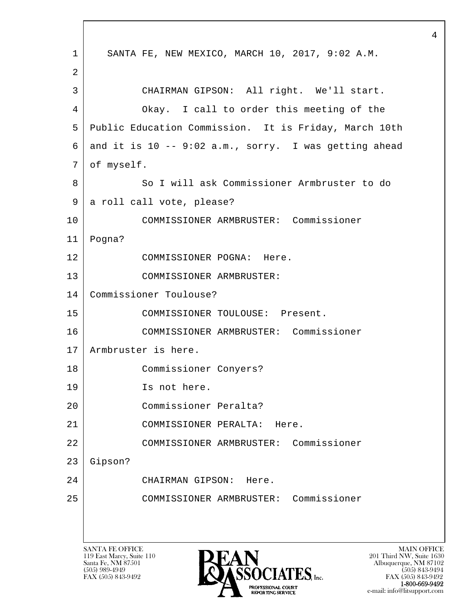l  $\overline{\phantom{a}}$ SANTA FE OFFICE MAIN OFFICE MAIN OFFICE MAIN OFFICE MAIN OFFICE 1 SANTA FE, NEW MEXICO, MARCH 10, 2017, 9:02 A.M. 2 3 CHAIRMAN GIPSON: All right. We'll start. 4 Okay. I call to order this meeting of the 5 Public Education Commission. It is Friday, March 10th 6 and it is  $10 - -9:02$  a.m., sorry. I was getting ahead 7 | of myself. 8 | So I will ask Commissioner Armbruster to do 9 a roll call vote, please? 10 COMMISSIONER ARMBRUSTER: Commissioner 11 Pogna? 12 COMMISSIONER POGNA: Here. 13 COMMISSIONER ARMBRUSTER: 14 Commissioner Toulouse? 15 | COMMISSIONER TOULOUSE: Present. 16 COMMISSIONER ARMBRUSTER: Commissioner 17 Armbruster is here. 18 Commissioner Conyers? 19 Is not here. 20 Commissioner Peralta? 21 COMMISSIONER PERALTA: Here. 22 COMMISSIONER ARMBRUSTER: Commissioner 23 Gipson? 24 CHAIRMAN GIPSON: Here. 25 COMMISSIONER ARMBRUSTER: Commissioner

119 East Marcy, Suite 110<br>Santa Fe, NM 87501



FAX (505) 843-9492 FAX (505) 843-9492 1-800-669-9492<br>PROFESSIONAL COURT **EXECUTE EXECUTE:**<br>REPORTING SERVICE e-mail: info@litsupport.com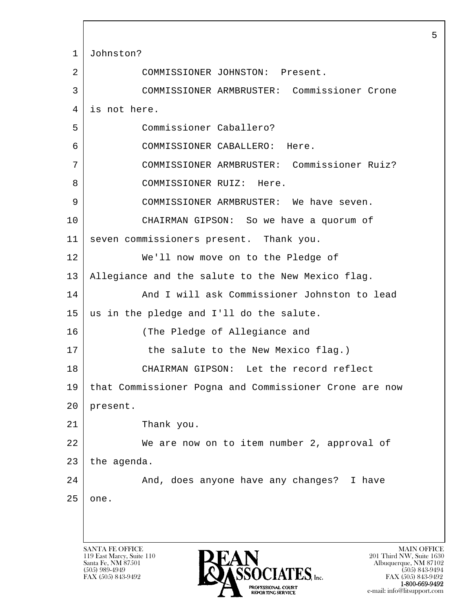l  $\overline{\phantom{a}}$ SANTA FE OFFICE MAIN OFFICE MAIN OFFICE MAIN OFFICE MAIN OFFICE 1 Johnston? 2 COMMISSIONER JOHNSTON: Present. 3 COMMISSIONER ARMBRUSTER: Commissioner Crone 4 is not here. 5 Commissioner Caballero? 6 COMMISSIONER CABALLERO: Here. 7 COMMISSIONER ARMBRUSTER: Commissioner Ruiz? 8 | COMMISSIONER RUIZ: Here. 9 COMMISSIONER ARMBRUSTER: We have seven. 10 CHAIRMAN GIPSON: So we have a quorum of 11 seven commissioners present. Thank you. 12 We'll now move on to the Pledge of 13 Allegiance and the salute to the New Mexico flag. 14 And I will ask Commissioner Johnston to lead 15 us in the pledge and I'll do the salute. 16 (The Pledge of Allegiance and 17 the salute to the New Mexico flag.) 18 CHAIRMAN GIPSON: Let the record reflect 19 that Commissioner Pogna and Commissioner Crone are now 20 present. 21 Thank you. 22 We are now on to item number 2, approval of 23 the agenda. 24 And, does anyone have any changes? I have  $25$  one.

119 East Marcy, Suite 110<br>Santa Fe, NM 87501

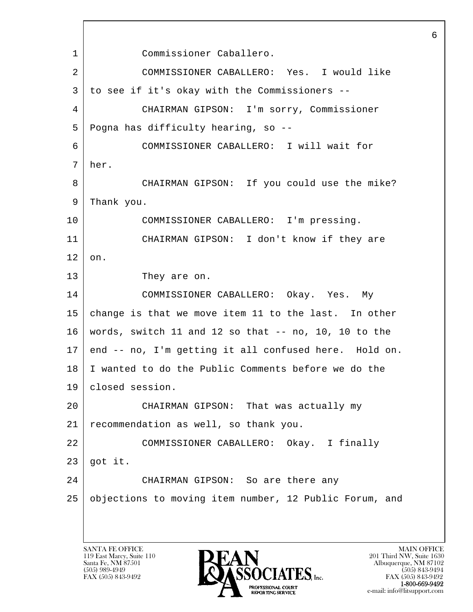l  $\overline{\phantom{a}}$  1 Commissioner Caballero. 2 COMMISSIONER CABALLERO: Yes. I would like 3 to see if it's okay with the Commissioners -- 4 CHAIRMAN GIPSON: I'm sorry, Commissioner 5 Pogna has difficulty hearing, so -- 6 COMMISSIONER CABALLERO: I will wait for 7 her. 8 CHAIRMAN GIPSON: If you could use the mike? 9 Thank you. 10 COMMISSIONER CABALLERO: I'm pressing. 11 CHAIRMAN GIPSON: I don't know if they are  $12 \mid$  on. 13 They are on. 14 COMMISSIONER CABALLERO: Okay. Yes. My 15 change is that we move item 11 to the last. In other 16 words, switch 11 and 12 so that -- no, 10, 10 to the 17 end -- no, I'm getting it all confused here. Hold on. 18 I wanted to do the Public Comments before we do the 19 closed session. 20 CHAIRMAN GIPSON: That was actually my 21 recommendation as well, so thank you. 22 COMMISSIONER CABALLERO: Okay. I finally  $23$  got it. 24 CHAIRMAN GIPSON: So are there any 25 objections to moving item number, 12 Public Forum, and

119 East Marcy, Suite 110<br>Santa Fe, NM 87501

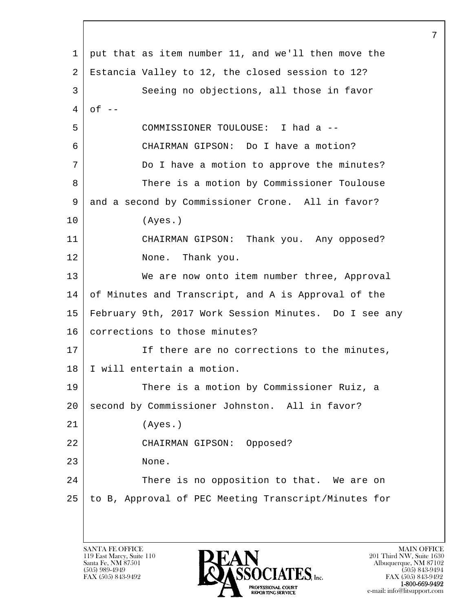| 1  | put that as item number 11, and we'll then move the   |
|----|-------------------------------------------------------|
| 2  | Estancia Valley to 12, the closed session to 12?      |
| 3  | Seeing no objections, all those in favor              |
| 4  | $of --$                                               |
| 5  | COMMISSIONER TOULOUSE: I had a --                     |
| 6  | CHAIRMAN GIPSON: Do I have a motion?                  |
| 7  | Do I have a motion to approve the minutes?            |
| 8  | There is a motion by Commissioner Toulouse            |
| 9  | and a second by Commissioner Crone. All in favor?     |
| 10 | (Ayes.)                                               |
| 11 | CHAIRMAN GIPSON: Thank you. Any opposed?              |
| 12 | None. Thank you.                                      |
| 13 | We are now onto item number three, Approval           |
| 14 | of Minutes and Transcript, and A is Approval of the   |
| 15 | February 9th, 2017 Work Session Minutes. Do I see any |
| 16 | corrections to those minutes?                         |
| 17 | If there are no corrections to the minutes,           |
| 18 | I will entertain a motion.                            |
| 19 | There is a motion by Commissioner Ruiz, a             |
| 20 | second by Commissioner Johnston. All in favor?        |
| 21 | (Ayes.)                                               |
| 22 | CHAIRMAN GIPSON: Opposed?                             |
| 23 | None.                                                 |
| 24 | There is no opposition to that. We are on             |
| 25 | to B, Approval of PEC Meeting Transcript/Minutes for  |
|    |                                                       |
|    |                                                       |

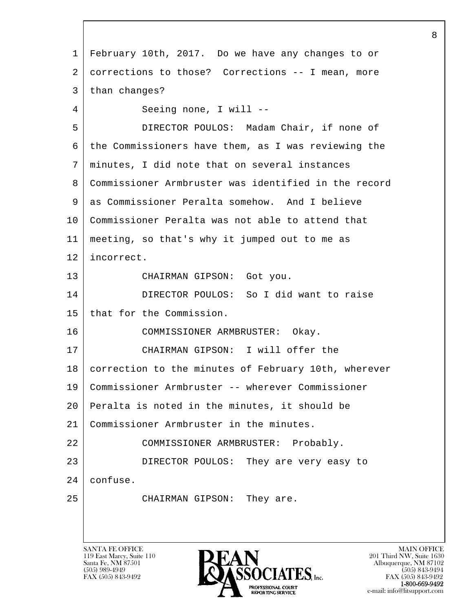l  $\overline{\phantom{a}}$  1 February 10th, 2017. Do we have any changes to or 2 | corrections to those? Corrections -- I mean, more 3 than changes? 4 Seeing none, I will -- 5 DIRECTOR POULOS: Madam Chair, if none of 6 the Commissioners have them, as I was reviewing the 7 minutes, I did note that on several instances 8 Commissioner Armbruster was identified in the record 9 as Commissioner Peralta somehow. And I believe 10 Commissioner Peralta was not able to attend that 11 meeting, so that's why it jumped out to me as 12 incorrect. 13 CHAIRMAN GIPSON: Got you. 14 DIRECTOR POULOS: So I did want to raise 15 | that for the Commission. 16 COMMISSIONER ARMBRUSTER: Okay. 17 CHAIRMAN GIPSON: I will offer the 18 | correction to the minutes of February 10th, wherever 19 Commissioner Armbruster -- wherever Commissioner 20 Peralta is noted in the minutes, it should be 21 Commissioner Armbruster in the minutes. 22 COMMISSIONER ARMBRUSTER: Probably. 23 DIRECTOR POULOS: They are very easy to 24 confuse. 25 CHAIRMAN GIPSON: They are.

119 East Marcy, Suite 110<br>Santa Fe, NM 87501



FAX (505) 843-9492 FAX (505) 843-9492 1-800-669-9492<br>PROFESSIONAL COURT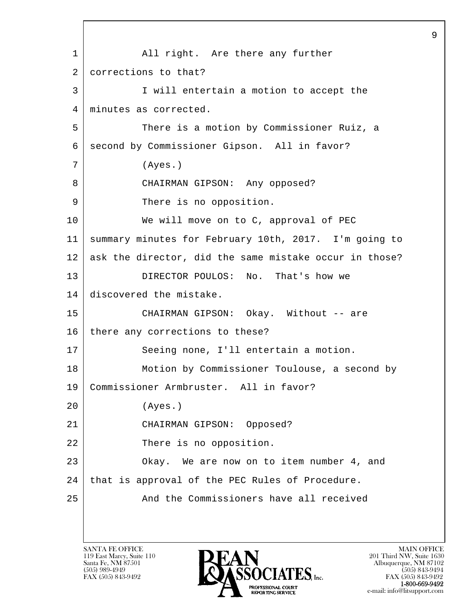l  $\overline{\phantom{a}}$ 1 | All right. Are there any further 2 corrections to that? 3 I will entertain a motion to accept the 4 | minutes as corrected. 5 There is a motion by Commissioner Ruiz, a 6 | second by Commissioner Gipson. All in favor? 7 (Ayes.) 8 CHAIRMAN GIPSON: Any opposed? 9 There is no opposition. 10 We will move on to C, approval of PEC 11 summary minutes for February 10th, 2017. I'm going to 12 ask the director, did the same mistake occur in those? 13 DIRECTOR POULOS: No. That's how we 14 discovered the mistake. 15 CHAIRMAN GIPSON: Okay. Without -- are 16 there any corrections to these? 17 | Seeing none, I'll entertain a motion. 18 | Motion by Commissioner Toulouse, a second by 19 Commissioner Armbruster. All in favor? 20 (Ayes.) 21 CHAIRMAN GIPSON: Opposed? 22 There is no opposition. 23 Okay. We are now on to item number 4, and  $24$  that is approval of the PEC Rules of Procedure. 25 And the Commissioners have all received

119 East Marcy, Suite 110<br>Santa Fe, NM 87501

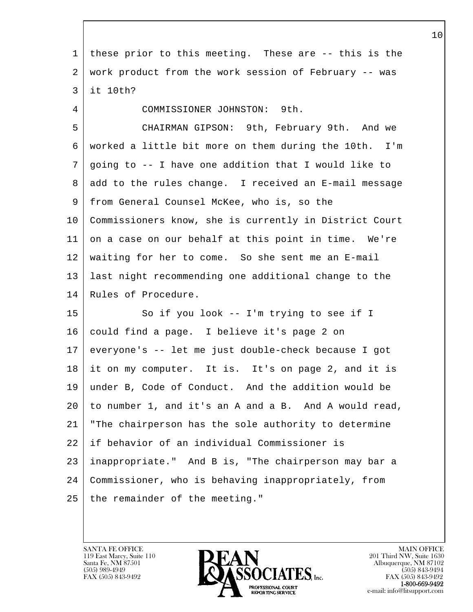| $\mathbf 1$    | these prior to this meeting. These are -- this is the  |
|----------------|--------------------------------------------------------|
| 2              | work product from the work session of February -- was  |
| 3              | it 10th?                                               |
| $\overline{4}$ | COMMISSIONER JOHNSTON: 9th.                            |
| 5              | CHAIRMAN GIPSON: 9th, February 9th. And we             |
| 6              | worked a little bit more on them during the 10th. I'm  |
| 7              | going to -- I have one addition that I would like to   |
| 8              | add to the rules change. I received an E-mail message  |
| 9              | from General Counsel McKee, who is, so the             |
| 10             | Commissioners know, she is currently in District Court |
| 11             | on a case on our behalf at this point in time. We're   |
| 12             | waiting for her to come. So she sent me an E-mail      |
| 13             | last night recommending one additional change to the   |
| 14             | Rules of Procedure.                                    |
| 15             | So if you look -- I'm trying to see if I               |
| 16             | could find a page. I believe it's page 2 on            |
| 17             | everyone's -- let me just double-check because I got   |
| 18             | it on my computer. It is. It's on page 2, and it is    |
| 19             | under B, Code of Conduct. And the addition would be    |
| 20             | to number 1, and it's an A and a B. And A would read,  |
| 21             | "The chairperson has the sole authority to determine   |
| 22             | if behavior of an individual Commissioner is           |
| 23             | inappropriate." And B is, "The chairperson may bar a   |
| 24             | Commissioner, who is behaving inappropriately, from    |
| 25             | the remainder of the meeting."                         |
|                |                                                        |

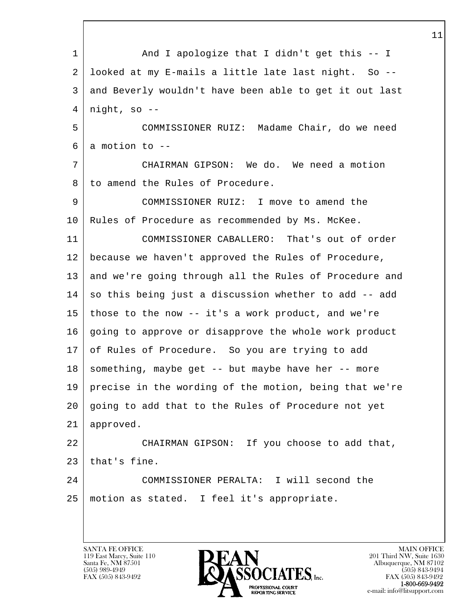l  $\overline{\phantom{a}}$ 1 And I apologize that I didn't get this -- I 2 looked at my E-mails a little late last night. So -- 3 and Beverly wouldn't have been able to get it out last  $4 \mid$  night, so  $-$ - 5 COMMISSIONER RUIZ: Madame Chair, do we need  $6 \mid a$  motion to  $-$  7 CHAIRMAN GIPSON: We do. We need a motion 8 to amend the Rules of Procedure. 9 COMMISSIONER RUIZ: I move to amend the 10 Rules of Procedure as recommended by Ms. McKee. 11 COMMISSIONER CABALLERO: That's out of order 12 because we haven't approved the Rules of Procedure, 13 and we're going through all the Rules of Procedure and 14 so this being just a discussion whether to add -- add 15 those to the now -- it's a work product, and we're 16 going to approve or disapprove the whole work product 17 of Rules of Procedure. So you are trying to add  $18$  something, maybe get -- but maybe have her -- more 19 precise in the wording of the motion, being that we're 20 going to add that to the Rules of Procedure not yet 21 approved. 22 CHAIRMAN GIPSON: If you choose to add that,  $23$  that's fine. 24 COMMISSIONER PERALTA: I will second the 25 motion as stated. I feel it's appropriate.

119 East Marcy, Suite 110<br>Santa Fe, NM 87501

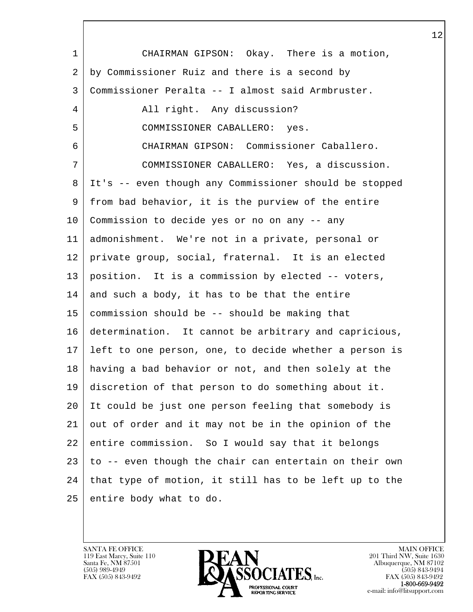l  $\overline{\phantom{a}}$  1 CHAIRMAN GIPSON: Okay. There is a motion, 2 by Commissioner Ruiz and there is a second by 3 Commissioner Peralta -- I almost said Armbruster. 4 All right. Any discussion? 5 COMMISSIONER CABALLERO: yes. 6 CHAIRMAN GIPSON: Commissioner Caballero. 7 COMMISSIONER CABALLERO: Yes, a discussion. 8 It's -- even though any Commissioner should be stopped 9 from bad behavior, it is the purview of the entire 10 Commission to decide yes or no on any -- any 11 admonishment. We're not in a private, personal or 12 private group, social, fraternal. It is an elected 13 position. It is a commission by elected -- voters,  $14$  and such a body, it has to be that the entire 15 commission should be -- should be making that 16 determination. It cannot be arbitrary and capricious, 17 left to one person, one, to decide whether a person is 18 having a bad behavior or not, and then solely at the 19 discretion of that person to do something about it. 20 It could be just one person feeling that somebody is 21 out of order and it may not be in the opinion of the 22 entire commission. So I would say that it belongs 23 to -- even though the chair can entertain on their own  $24$  that type of motion, it still has to be left up to the 25 entire body what to do.

119 East Marcy, Suite 110<br>Santa Fe, NM 87501

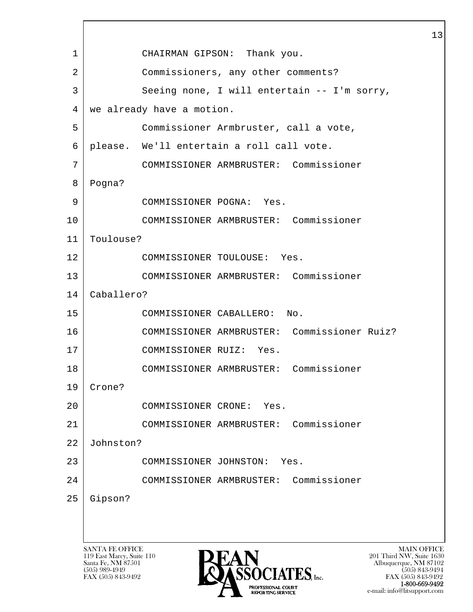l  $\overline{\phantom{a}}$ SANTA FE OFFICE MAIN OFFICE MAIN OFFICE MAIN OFFICE MAIN OFFICE 119 East Marcy, Suite 110<br>Santa Fe, NM 87501 Santa Fe, NM 87501 Albuquerque, NM 87102 1 CHAIRMAN GIPSON: Thank you. 2 Commissioners, any other comments? 3 Seeing none, I will entertain -- I'm sorry, 4 we already have a motion. 5 Commissioner Armbruster, call a vote, 6 please. We'll entertain a roll call vote. 7 COMMISSIONER ARMBRUSTER: Commissioner 8 Pogna? 9 COMMISSIONER POGNA: Yes. 10 COMMISSIONER ARMBRUSTER: Commissioner 11 Toulouse? 12 COMMISSIONER TOULOUSE: Yes. 13 COMMISSIONER ARMBRUSTER: Commissioner 14 Caballero? 15 COMMISSIONER CABALLERO: No. 16 COMMISSIONER ARMBRUSTER: Commissioner Ruiz? 17 COMMISSIONER RUIZ: Yes. 18 COMMISSIONER ARMBRUSTER: Commissioner 19 Crone? 20 COMMISSIONER CRONE: Yes. 21 COMMISSIONER ARMBRUSTER: Commissioner 22 Johnston? 23 COMMISSIONER JOHNSTON: Yes. 24 COMMISSIONER ARMBRUSTER: Commissioner 25 Gipson?



 $FAX (505) 843-9492$ <br>1-800-669-9492 e-mail: info@litsupport.com<br>REPORTING SERVICE e-mail: info@litsupport.com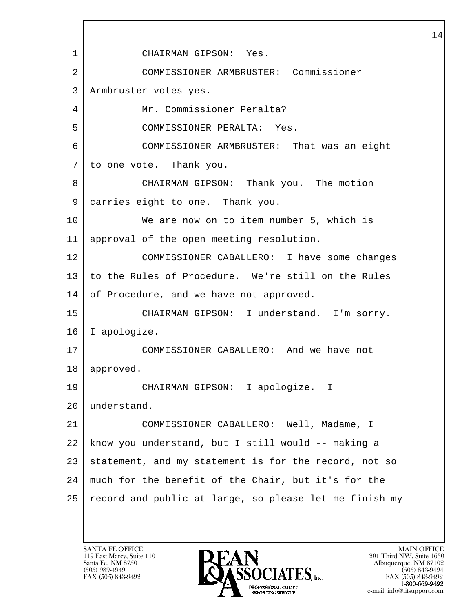l  $\overline{\phantom{a}}$  1 CHAIRMAN GIPSON: Yes. 2 COMMISSIONER ARMBRUSTER: Commissioner 3 Armbruster votes yes. 4 Mr. Commissioner Peralta? 5 COMMISSIONER PERALTA: Yes. 6 COMMISSIONER ARMBRUSTER: That was an eight 7 to one vote. Thank you. 8 CHAIRMAN GIPSON: Thank you. The motion 9 carries eight to one. Thank you. 10 We are now on to item number 5, which is 11 approval of the open meeting resolution. 12 COMMISSIONER CABALLERO: I have some changes 13 to the Rules of Procedure. We're still on the Rules 14 of Procedure, and we have not approved. 15 CHAIRMAN GIPSON: I understand. I'm sorry. 16 I apologize. 17 COMMISSIONER CABALLERO: And we have not 18 approved. 19 CHAIRMAN GIPSON: I apologize. I 20 understand. 21 COMMISSIONER CABALLERO: Well, Madame, I 22 know you understand, but I still would -- making a 23 statement, and my statement is for the record, not so 24 much for the benefit of the Chair, but it's for the 25 record and public at large, so please let me finish my

119 East Marcy, Suite 110<br>Santa Fe, NM 87501

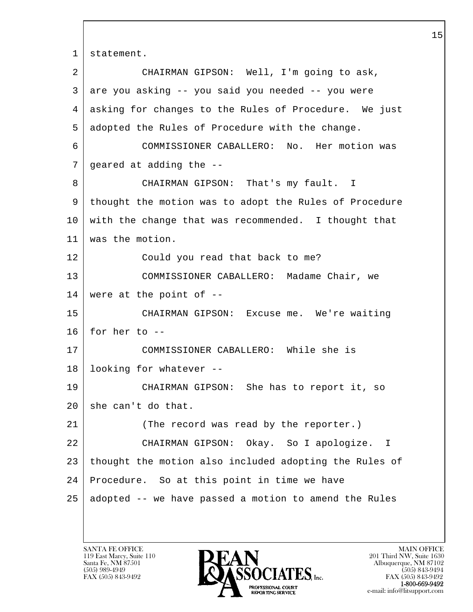l  $\overline{\phantom{a}}$ 1 | statement. 2 CHAIRMAN GIPSON: Well, I'm going to ask, 3 are you asking -- you said you needed -- you were 4 asking for changes to the Rules of Procedure. We just 5 adopted the Rules of Procedure with the change. 6 COMMISSIONER CABALLERO: No. Her motion was 7 geared at adding the -- 8 CHAIRMAN GIPSON: That's my fault. I 9 thought the motion was to adopt the Rules of Procedure 10 with the change that was recommended. I thought that 11 was the motion. 12 Could you read that back to me? 13 COMMISSIONER CABALLERO: Madame Chair, we 14 were at the point of -- 15 CHAIRMAN GIPSON: Excuse me. We're waiting  $16$  for her to  $-$ 17 COMMISSIONER CABALLERO: While she is 18 looking for whatever -- 19 CHAIRMAN GIPSON: She has to report it, so 20 she can't do that. 21 (The record was read by the reporter.) 22 CHAIRMAN GIPSON: Okay. So I apologize. I 23 thought the motion also included adopting the Rules of 24 Procedure. So at this point in time we have 25 adopted -- we have passed a motion to amend the Rules

119 East Marcy, Suite 110<br>Santa Fe, NM 87501

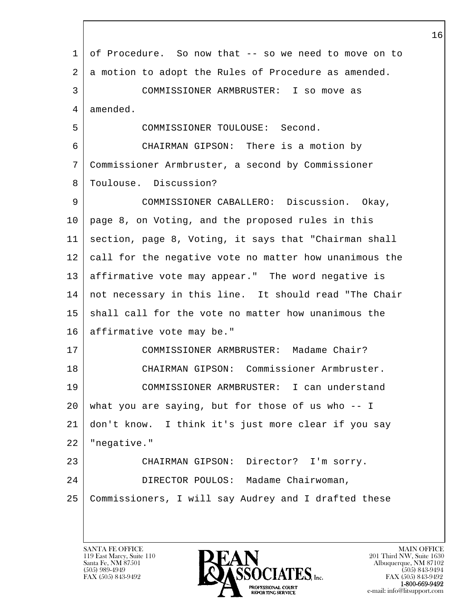| 1  | of Procedure. So now that -- so we need to move on to  |
|----|--------------------------------------------------------|
| 2  | a motion to adopt the Rules of Procedure as amended.   |
| 3  | COMMISSIONER ARMBRUSTER: I so move as                  |
| 4  | amended.                                               |
| 5  | COMMISSIONER TOULOUSE: Second.                         |
| 6  | CHAIRMAN GIPSON: There is a motion by                  |
| 7  | Commissioner Armbruster, a second by Commissioner      |
| 8  | Toulouse. Discussion?                                  |
| 9  | COMMISSIONER CABALLERO: Discussion. Okay,              |
| 10 | page 8, on Voting, and the proposed rules in this      |
| 11 | section, page 8, Voting, it says that "Chairman shall  |
| 12 | call for the negative vote no matter how unanimous the |
| 13 | affirmative vote may appear." The word negative is     |
| 14 | not necessary in this line. It should read "The Chair  |
| 15 | shall call for the vote no matter how unanimous the    |
| 16 | affirmative vote may be."                              |
| 17 | COMMISSIONER ARMBRUSTER: Madame Chair?                 |
| 18 | CHAIRMAN GIPSON: Commissioner Armbruster.              |
| 19 | COMMISSIONER ARMBRUSTER: I can understand              |
| 20 | what you are saying, but for those of us who -- I      |
| 21 | don't know. I think it's just more clear if you say    |
| 22 | "negative."                                            |
| 23 | CHAIRMAN GIPSON: Director? I'm sorry.                  |
| 24 | DIRECTOR POULOS: Madame Chairwoman,                    |
| 25 | Commissioners, I will say Audrey and I drafted these   |
|    |                                                        |

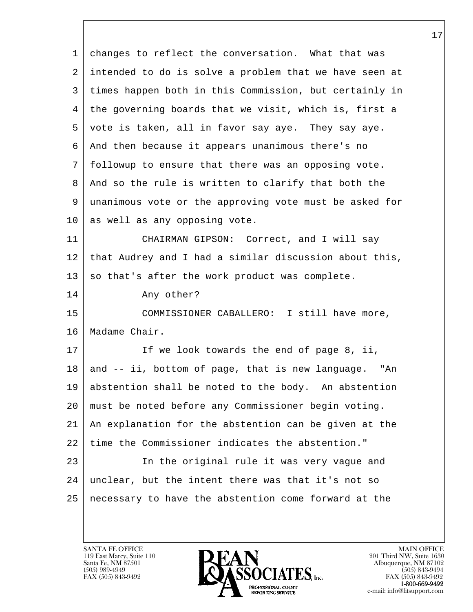l  $\overline{\phantom{a}}$  1 changes to reflect the conversation. What that was 2 intended to do is solve a problem that we have seen at 3 times happen both in this Commission, but certainly in 4 the governing boards that we visit, which is, first a 5 vote is taken, all in favor say aye. They say aye. 6 And then because it appears unanimous there's no 7 followup to ensure that there was an opposing vote. 8 | And so the rule is written to clarify that both the 9 unanimous vote or the approving vote must be asked for 10 as well as any opposing vote. 11 CHAIRMAN GIPSON: Correct, and I will say 12 that Audrey and I had a similar discussion about this,  $13$  so that's after the work product was complete. 14 Any other? 15 COMMISSIONER CABALLERO: I still have more, 16 Madame Chair. 17 | The look towards the end of page 8, ii, 18 and -- ii, bottom of page, that is new language. "An 19 abstention shall be noted to the body. An abstention 20 must be noted before any Commissioner begin voting. 21 An explanation for the abstention can be given at the 22 time the Commissioner indicates the abstention." 23 In the original rule it was very vague and 24 unclear, but the intent there was that it's not so 25 necessary to have the abstention come forward at the

119 East Marcy, Suite 110<br>Santa Fe, NM 87501

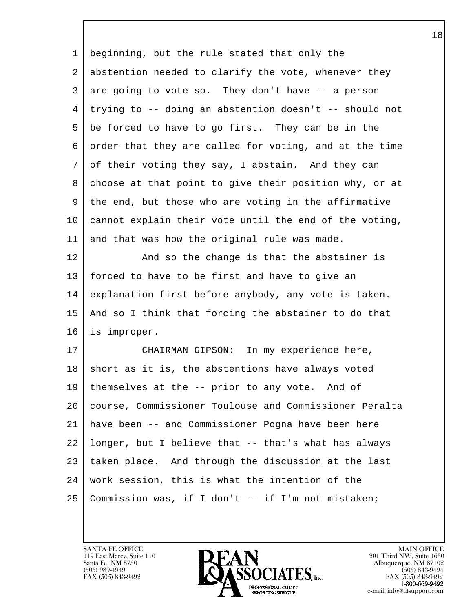| 1  | beginning, but the rule stated that only the           |
|----|--------------------------------------------------------|
| 2  | abstention needed to clarify the vote, whenever they   |
| 3  | are going to vote so. They don't have -- a person      |
| 4  | trying to -- doing an abstention doesn't -- should not |
| 5  | be forced to have to go first. They can be in the      |
| 6  | order that they are called for voting, and at the time |
| 7  | of their voting they say, I abstain. And they can      |
| 8  | choose at that point to give their position why, or at |
| 9  | the end, but those who are voting in the affirmative   |
| 10 | cannot explain their vote until the end of the voting, |
| 11 | and that was how the original rule was made.           |
| 12 | And so the change is that the abstainer is             |
| 13 | forced to have to be first and have to give an         |
| 14 | explanation first before anybody, any vote is taken.   |
| 15 | And so I think that forcing the abstainer to do that   |
| 16 | is improper.                                           |
| 17 | CHAIRMAN GIPSON: In my experience here,                |
| 18 | short as it is, the abstentions have always voted      |
|    | 19 themselves at the -- prior to any vote. And of      |
| 20 | course, Commissioner Toulouse and Commissioner Peralta |
| 21 | have been -- and Commissioner Pogna have been here     |
| 22 | longer, but I believe that -- that's what has always   |
| 23 | taken place. And through the discussion at the last    |
| 24 | work session, this is what the intention of the        |
| 25 | Commission was, if I don't -- if I'm not mistaken;     |
|    |                                                        |

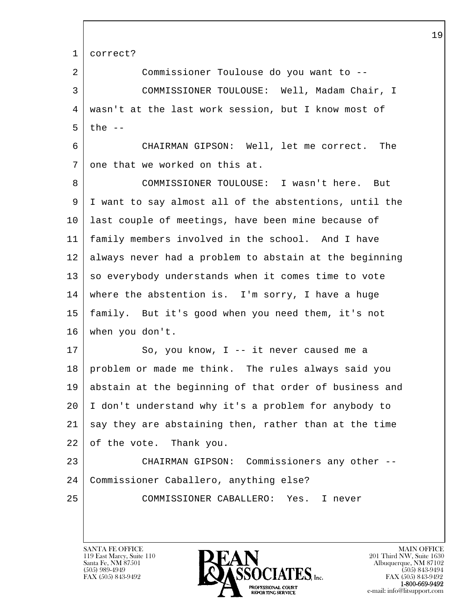| correct?                                               |
|--------------------------------------------------------|
| Commissioner Toulouse do you want to --                |
| COMMISSIONER TOULOUSE: Well, Madam Chair, I            |
| wasn't at the last work session, but I know most of    |
| the $-$                                                |
| CHAIRMAN GIPSON: Well, let me correct. The             |
| one that we worked on this at.                         |
| COMMISSIONER TOULOUSE: I wasn't here. But              |
| I want to say almost all of the abstentions, until the |
| last couple of meetings, have been mine because of     |
| family members involved in the school. And I have      |
| always never had a problem to abstain at the beginning |
| so everybody understands when it comes time to vote    |
| where the abstention is. I'm sorry, I have a huge      |
| family. But it's good when you need them, it's not     |
| when you don't.                                        |
| So, you know, $I$ -- it never caused me a              |
| problem or made me think. The rules always said you    |
| abstain at the beginning of that order of business and |
| I don't understand why it's a problem for anybody to   |
| say they are abstaining then, rather than at the time  |
| of the vote. Thank you.                                |
| CHAIRMAN GIPSON: Commissioners any other --            |
| Commissioner Caballero, anything else?                 |
| COMMISSIONER CABALLERO: Yes. I never                   |
|                                                        |
|                                                        |

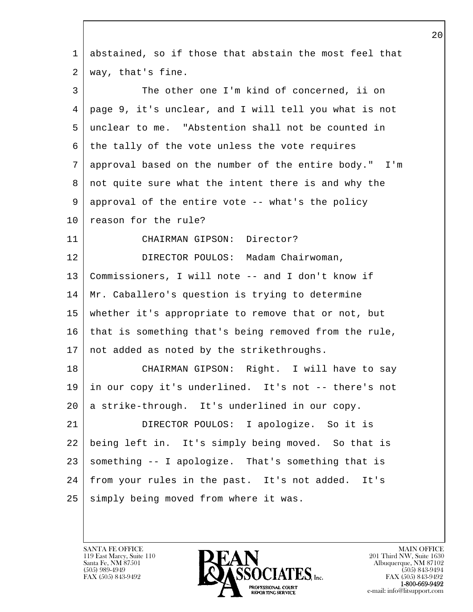l  $\overline{\phantom{a}}$  1 abstained, so if those that abstain the most feel that 2 way, that's fine. 3 The other one I'm kind of concerned, ii on 4 page 9, it's unclear, and I will tell you what is not 5 unclear to me. "Abstention shall not be counted in 6 the tally of the vote unless the vote requires 7 approval based on the number of the entire body." I'm 8 not quite sure what the intent there is and why the 9 approval of the entire vote -- what's the policy 10 reason for the rule? 11 CHAIRMAN GIPSON: Director? 12 DIRECTOR POULOS: Madam Chairwoman, 13 Commissioners, I will note -- and I don't know if 14 | Mr. Caballero's question is trying to determine 15 whether it's appropriate to remove that or not, but 16 that is something that's being removed from the rule, 17 | not added as noted by the strikethroughs. 18 | CHAIRMAN GIPSON: Right. I will have to say 19 in our copy it's underlined. It's not -- there's not 20 a strike-through. It's underlined in our copy. 21 DIRECTOR POULOS: I apologize. So it is 22 being left in. It's simply being moved. So that is 23 something -- I apologize. That's something that is 24 from your rules in the past. It's not added. It's 25 | simply being moved from where it was.

119 East Marcy, Suite 110<br>Santa Fe, NM 87501

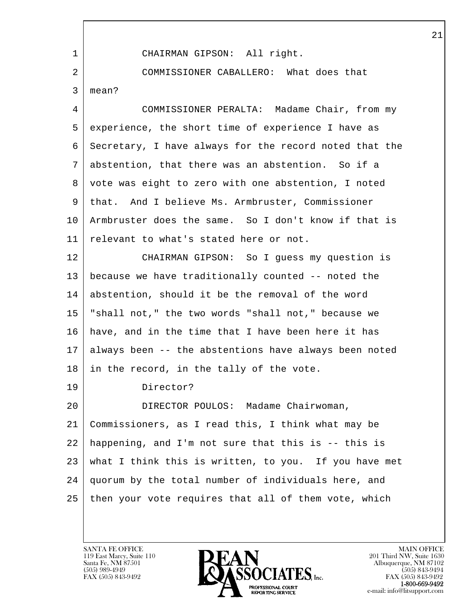l  $\overline{\phantom{a}}$  1 CHAIRMAN GIPSON: All right. 2 COMMISSIONER CABALLERO: What does that 3 mean? 4 COMMISSIONER PERALTA: Madame Chair, from my 5 experience, the short time of experience I have as 6 Secretary, I have always for the record noted that the 7 abstention, that there was an abstention. So if a 8 vote was eight to zero with one abstention, I noted 9 that. And I believe Ms. Armbruster, Commissioner 10 Armbruster does the same. So I don't know if that is 11 relevant to what's stated here or not. 12 CHAIRMAN GIPSON: So I guess my question is 13 because we have traditionally counted -- noted the 14 abstention, should it be the removal of the word 15 "shall not," the two words "shall not," because we 16 have, and in the time that I have been here it has 17 always been -- the abstentions have always been noted 18 in the record, in the tally of the vote. 19 Director? 20 DIRECTOR POULOS: Madame Chairwoman, 21 Commissioners, as I read this, I think what may be 22 happening, and I'm not sure that this is -- this is 23 what I think this is written, to you. If you have met 24 quorum by the total number of individuals here, and 25 then your vote requires that all of them vote, which

119 East Marcy, Suite 110<br>Santa Fe, NM 87501

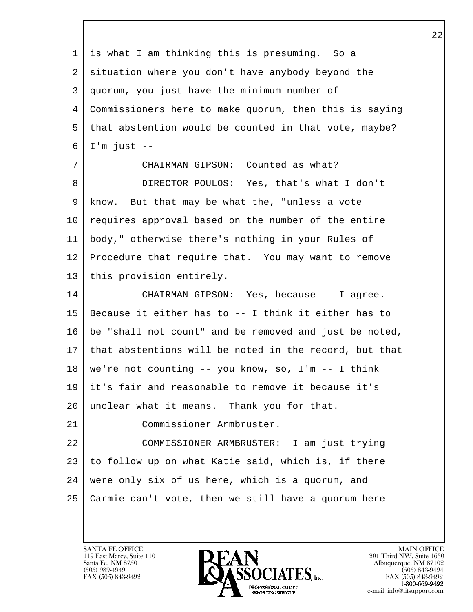l  $\overline{\phantom{a}}$  1 is what I am thinking this is presuming. So a 2 situation where you don't have anybody beyond the 3 quorum, you just have the minimum number of 4 Commissioners here to make quorum, then this is saying 5 that abstention would be counted in that vote, maybe? 6 I'm just -- 7 CHAIRMAN GIPSON: Counted as what? 8 DIRECTOR POULOS: Yes, that's what I don't 9 know. But that may be what the, "unless a vote 10 requires approval based on the number of the entire 11 body," otherwise there's nothing in your Rules of 12 Procedure that require that. You may want to remove 13 | this provision entirely. 14 CHAIRMAN GIPSON: Yes, because -- I agree. 15 Because it either has to -- I think it either has to 16 be "shall not count" and be removed and just be noted, 17 that abstentions will be noted in the record, but that  $18$  we're not counting  $-$  you know, so, I'm  $-$  I think 19 it's fair and reasonable to remove it because it's 20 unclear what it means. Thank you for that. 21 Commissioner Armbruster. 22 COMMISSIONER ARMBRUSTER: I am just trying 23 to follow up on what Katie said, which is, if there 24 were only six of us here, which is a quorum, and 25 Carmie can't vote, then we still have a quorum here

119 East Marcy, Suite 110<br>Santa Fe, NM 87501

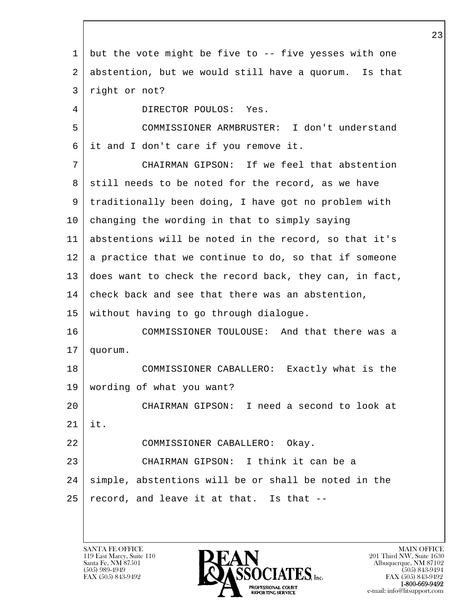l  $\overline{\phantom{a}}$  1 but the vote might be five to -- five yesses with one 2 abstention, but we would still have a quorum. Is that 3 right or not? 4 DIRECTOR POULOS: Yes. 5 COMMISSIONER ARMBRUSTER: I don't understand 6 it and I don't care if you remove it. 7 CHAIRMAN GIPSON: If we feel that abstention 8 still needs to be noted for the record, as we have 9 traditionally been doing, I have got no problem with 10 changing the wording in that to simply saying 11 abstentions will be noted in the record, so that it's  $12$  a practice that we continue to do, so that if someone 13 does want to check the record back, they can, in fact, 14 check back and see that there was an abstention, 15 without having to go through dialogue. 16 COMMISSIONER TOULOUSE: And that there was a 17 quorum. 18 COMMISSIONER CABALLERO: Exactly what is the 19 wording of what you want? 20 CHAIRMAN GIPSON: I need a second to look at 21 it. 22 COMMISSIONER CABALLERO: Okay. 23 CHAIRMAN GIPSON: I think it can be a 24 simple, abstentions will be or shall be noted in the  $25$  record, and leave it at that. Is that  $-$ -

119 East Marcy, Suite 110<br>Santa Fe, NM 87501

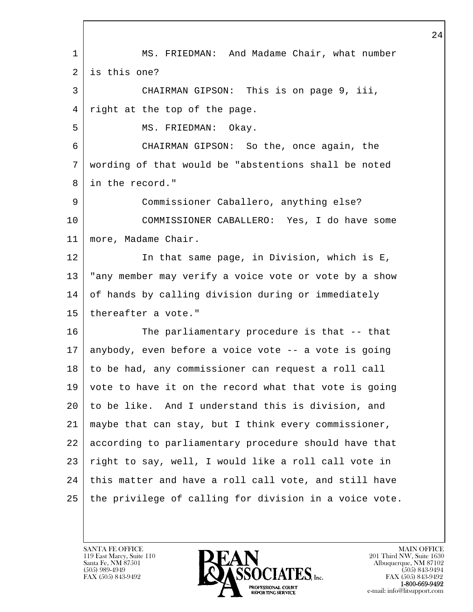l  $\overline{\phantom{a}}$ 1 | MS. FRIEDMAN: And Madame Chair, what number 2 is this one? 3 CHAIRMAN GIPSON: This is on page 9, iii, 4 right at the top of the page. 5 | MS. FRIEDMAN: Okay. 6 CHAIRMAN GIPSON: So the, once again, the 7 wording of that would be "abstentions shall be noted 8 in the record." 9 Commissioner Caballero, anything else? 10 COMMISSIONER CABALLERO: Yes, I do have some 11 more, Madame Chair. 12 In that same page, in Division, which is E, 13 "any member may verify a voice vote or vote by a show 14 of hands by calling division during or immediately 15 | thereafter a vote." 16 The parliamentary procedure is that -- that 17 anybody, even before a voice vote -- a vote is going 18 to be had, any commissioner can request a roll call 19 vote to have it on the record what that vote is going 20 to be like. And I understand this is division, and 21 maybe that can stay, but I think every commissioner, 22 according to parliamentary procedure should have that 23 right to say, well, I would like a roll call vote in 24 this matter and have a roll call vote, and still have 25 the privilege of calling for division in a voice vote.

119 East Marcy, Suite 110<br>Santa Fe, NM 87501

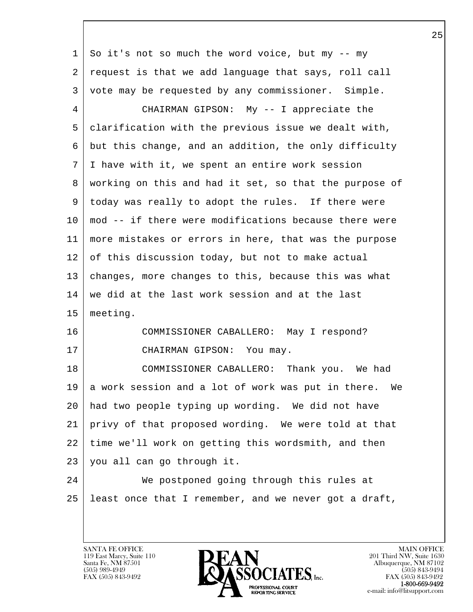| 1  | So it's not so much the word voice, but my -- my       |
|----|--------------------------------------------------------|
| 2  | request is that we add language that says, roll call   |
| 3  | vote may be requested by any commissioner. Simple.     |
| 4  | CHAIRMAN GIPSON: My -- I appreciate the                |
| 5  | clarification with the previous issue we dealt with,   |
| 6  | but this change, and an addition, the only difficulty  |
| 7  | I have with it, we spent an entire work session        |
| 8  | working on this and had it set, so that the purpose of |
| 9  | today was really to adopt the rules. If there were     |
| 10 | mod -- if there were modifications because there were  |
| 11 | more mistakes or errors in here, that was the purpose  |
| 12 | of this discussion today, but not to make actual       |
| 13 | changes, more changes to this, because this was what   |
| 14 | we did at the last work session and at the last        |
| 15 | meeting.                                               |
| 16 | COMMISSIONER CABALLERO: May I respond?                 |
| 17 | CHAIRMAN GIPSON: You may.                              |
| 18 | COMMISSIONER CABALLERO: Thank you. We had              |
| 19 | a work session and a lot of work was put in there. We  |
| 20 | had two people typing up wording. We did not have      |
| 21 | privy of that proposed wording. We were told at that   |
| 22 | time we'll work on getting this wordsmith, and then    |
| 23 | you all can go through it.                             |
| 24 | We postponed going through this rules at               |
| 25 | least once that I remember, and we never got a draft,  |
|    |                                                        |

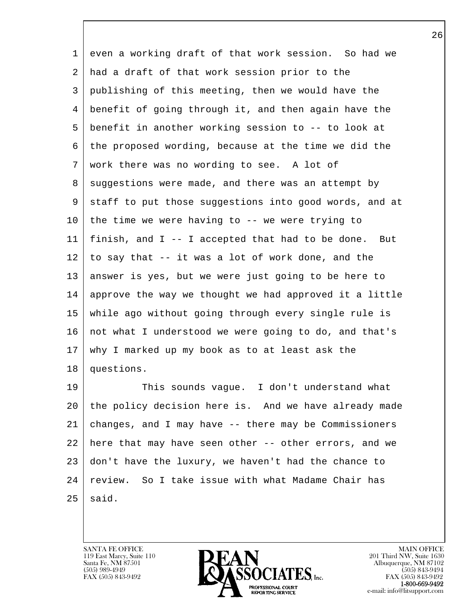1 even a working draft of that work session. So had we 2 had a draft of that work session prior to the 3 publishing of this meeting, then we would have the 4 benefit of going through it, and then again have the 5 benefit in another working session to -- to look at 6 the proposed wording, because at the time we did the 7 work there was no wording to see. A lot of 8 suggestions were made, and there was an attempt by 9 staff to put those suggestions into good words, and at 10 the time we were having to -- we were trying to 11 finish, and I -- I accepted that had to be done. But  $12$  to say that  $-$  it was a lot of work done, and the 13 answer is yes, but we were just going to be here to 14 approve the way we thought we had approved it a little 15 while ago without going through every single rule is 16 not what I understood we were going to do, and that's 17 why I marked up my book as to at least ask the 18 questions. 19 This sounds vague. I don't understand what

l 20 the policy decision here is. And we have already made 21 changes, and I may have -- there may be Commissioners 22 here that may have seen other -- other errors, and we 23 don't have the luxury, we haven't had the chance to 24 review. So I take issue with what Madame Chair has  $25$  said.

119 East Marcy, Suite 110<br>Santa Fe, NM 87501

 $\overline{\phantom{a}}$ 

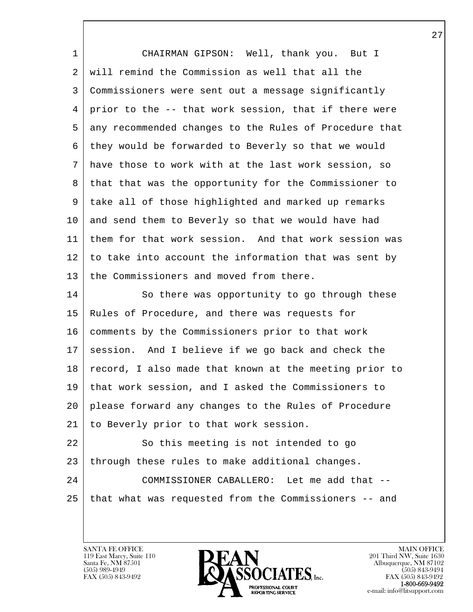| $\mathbf 1$ | CHAIRMAN GIPSON: Well, thank you. But I                |
|-------------|--------------------------------------------------------|
| 2           | will remind the Commission as well that all the        |
| 3           | Commissioners were sent out a message significantly    |
| 4           | prior to the -- that work session, that if there were  |
| 5           | any recommended changes to the Rules of Procedure that |
| 6           | they would be forwarded to Beverly so that we would    |
| 7           | have those to work with at the last work session, so   |
| 8           | that that was the opportunity for the Commissioner to  |
| 9           | take all of those highlighted and marked up remarks    |
| 10          | and send them to Beverly so that we would have had     |
| 11          | them for that work session. And that work session was  |
| 12          | to take into account the information that was sent by  |
| 13          | the Commissioners and moved from there.                |
| 14          | So there was opportunity to go through these           |
| 15          | Rules of Procedure, and there was requests for         |
| 16          | comments by the Commissioners prior to that work       |
| 17          | And I believe if we go back and check the<br>session.  |
| 18          | record, I also made that known at the meeting prior to |
| 19          | that work session, and I asked the Commissioners to    |
| 20          | please forward any changes to the Rules of Procedure   |
| 21          | to Beverly prior to that work session.                 |
| 22          | So this meeting is not intended to go                  |
| 23          | through these rules to make additional changes.        |
| 24          | COMMISSIONER CABALLERO: Let me add that --             |
| 25          | that what was requested from the Commissioners -- and  |
|             |                                                        |

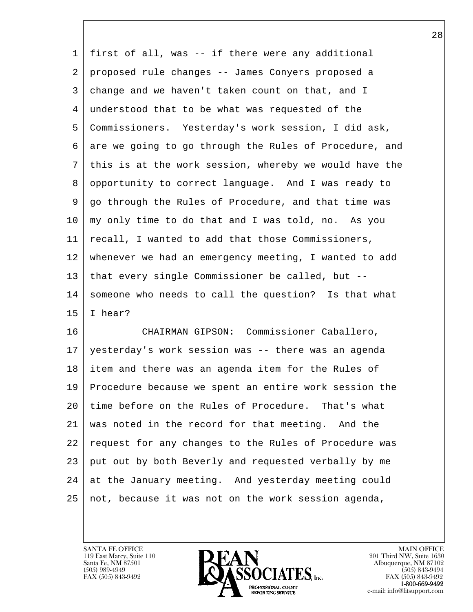1 first of all, was -- if there were any additional 2 proposed rule changes -- James Conyers proposed a 3 change and we haven't taken count on that, and I 4 understood that to be what was requested of the 5 Commissioners. Yesterday's work session, I did ask, 6 are we going to go through the Rules of Procedure, and 7 this is at the work session, whereby we would have the 8 opportunity to correct language. And I was ready to 9 go through the Rules of Procedure, and that time was 10 my only time to do that and I was told, no. As you 11 recall, I wanted to add that those Commissioners, 12 whenever we had an emergency meeting, I wanted to add 13 | that every single Commissioner be called, but  $--$ 14 someone who needs to call the question? Is that what  $15$  I hear?

l 16 CHAIRMAN GIPSON: Commissioner Caballero, 17 yesterday's work session was -- there was an agenda 18 item and there was an agenda item for the Rules of 19 Procedure because we spent an entire work session the 20 time before on the Rules of Procedure. That's what 21 was noted in the record for that meeting. And the 22 request for any changes to the Rules of Procedure was 23 put out by both Beverly and requested verbally by me 24 at the January meeting. And yesterday meeting could 25 not, because it was not on the work session agenda,

119 East Marcy, Suite 110<br>Santa Fe, NM 87501

 $\overline{\phantom{a}}$ 

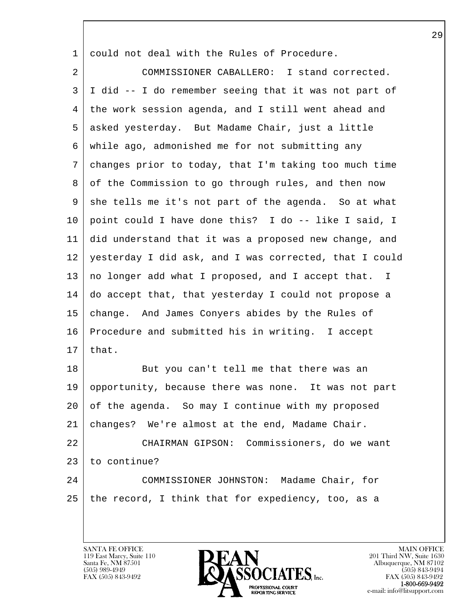1 could not deal with the Rules of Procedure.

2 COMMISSIONER CABALLERO: I stand corrected. 3 I did -- I do remember seeing that it was not part of 4 the work session agenda, and I still went ahead and 5 asked yesterday. But Madame Chair, just a little 6 while ago, admonished me for not submitting any 7 changes prior to today, that I'm taking too much time 8 of the Commission to go through rules, and then now 9 she tells me it's not part of the agenda. So at what 10 point could I have done this? I do -- like I said, I 11 did understand that it was a proposed new change, and 12 yesterday I did ask, and I was corrected, that I could 13 no longer add what I proposed, and I accept that. I 14 do accept that, that yesterday I could not propose a 15 change. And James Conyers abides by the Rules of 16 Procedure and submitted his in writing. I accept  $17$  that. 18 But you can't tell me that there was an

l 19 opportunity, because there was none. It was not part 20 of the agenda. So may I continue with my proposed 21 changes? We're almost at the end, Madame Chair. 22 CHAIRMAN GIPSON: Commissioners, do we want 23 to continue? 24 COMMISSIONER JOHNSTON: Madame Chair, for 25 the record, I think that for expediency, too, as a

119 East Marcy, Suite 110<br>Santa Fe, NM 87501

 $\overline{\phantom{a}}$ 

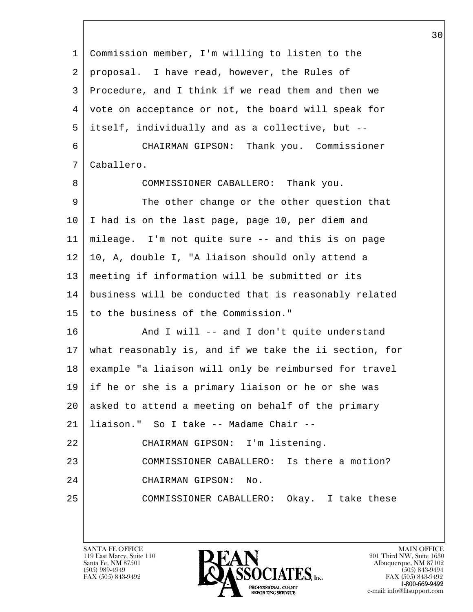| Commission member, I'm willing to listen to the        |
|--------------------------------------------------------|
| proposal. I have read, however, the Rules of           |
| Procedure, and I think if we read them and then we     |
| vote on acceptance or not, the board will speak for    |
| itself, individually and as a collective, but --       |
| CHAIRMAN GIPSON: Thank you. Commissioner               |
| Caballero.                                             |
| COMMISSIONER CABALLERO: Thank you.                     |
| The other change or the other question that            |
| I had is on the last page, page 10, per diem and       |
| mileage. I'm not quite sure -- and this is on page     |
| 10, A, double I, "A liaison should only attend a       |
| meeting if information will be submitted or its        |
| business will be conducted that is reasonably related  |
| to the business of the Commission."                    |
| And I will -- and I don't quite understand             |
| what reasonably is, and if we take the ii section, for |
| example "a liaison will only be reimbursed for travel  |
| if he or she is a primary liaison or he or she was     |
| asked to attend a meeting on behalf of the primary     |
| liaison." So I take -- Madame Chair --                 |
| CHAIRMAN GIPSON: I'm listening.                        |
| COMMISSIONER CABALLERO: Is there a motion?             |
| CHAIRMAN GIPSON:<br>No.                                |
| COMMISSIONER CABALLERO: Okay. I take these             |
|                                                        |
|                                                        |

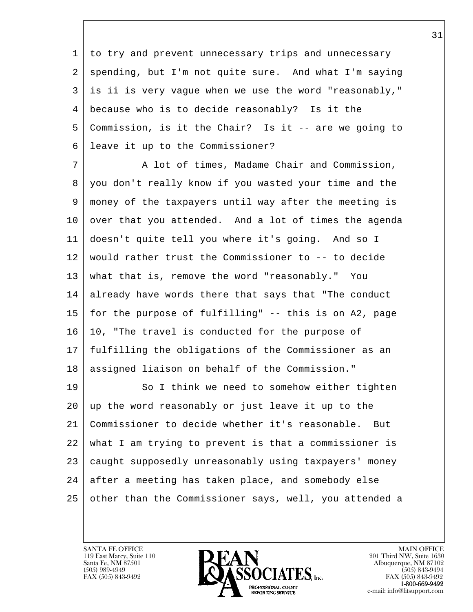1 to try and prevent unnecessary trips and unnecessary 2 | spending, but I'm not quite sure. And what I'm saying 3 is ii is very vague when we use the word "reasonably," 4 because who is to decide reasonably? Is it the 5 Commission, is it the Chair? Is it -- are we going to 6 leave it up to the Commissioner?

7 A lot of times, Madame Chair and Commission, 8 you don't really know if you wasted your time and the 9 money of the taxpayers until way after the meeting is 10 over that you attended. And a lot of times the agenda 11 doesn't quite tell you where it's going. And so I 12 would rather trust the Commissioner to -- to decide 13 what that is, remove the word "reasonably." You 14 already have words there that says that "The conduct 15 for the purpose of fulfilling" -- this is on A2, page 16 10, "The travel is conducted for the purpose of 17 fulfilling the obligations of the Commissioner as an 18 | assigned liaison on behalf of the Commission."

l 19 So I think we need to somehow either tighten 20 up the word reasonably or just leave it up to the 21 Commissioner to decide whether it's reasonable. But 22 what I am trying to prevent is that a commissioner is 23 caught supposedly unreasonably using taxpayers' money  $24$  after a meeting has taken place, and somebody else 25 other than the Commissioner says, well, you attended a

119 East Marcy, Suite 110<br>Santa Fe, NM 87501

 $\overline{\phantom{a}}$ 

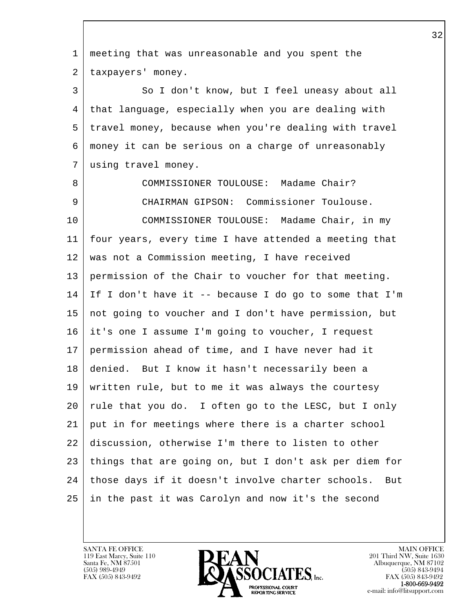l  $\overline{\phantom{a}}$  1 meeting that was unreasonable and you spent the 2 | taxpayers' money. 3 So I don't know, but I feel uneasy about all 4 that language, especially when you are dealing with 5 travel money, because when you're dealing with travel 6 money it can be serious on a charge of unreasonably 7 using travel money. 8 COMMISSIONER TOULOUSE: Madame Chair? 9 CHAIRMAN GIPSON: Commissioner Toulouse. 10 COMMISSIONER TOULOUSE: Madame Chair, in my 11 four years, every time I have attended a meeting that 12 was not a Commission meeting, I have received 13 permission of the Chair to voucher for that meeting.  $14$  If I don't have it -- because I do go to some that I'm 15 not going to voucher and I don't have permission, but 16 it's one I assume I'm going to voucher, I request 17 permission ahead of time, and I have never had it 18 denied. But I know it hasn't necessarily been a 19 written rule, but to me it was always the courtesy 20 rule that you do. I often go to the LESC, but I only 21 put in for meetings where there is a charter school 22 discussion, otherwise I'm there to listen to other 23 things that are going on, but I don't ask per diem for 24 | those days if it doesn't involve charter schools. But 25 in the past it was Carolyn and now it's the second

119 East Marcy, Suite 110<br>Santa Fe, NM 87501

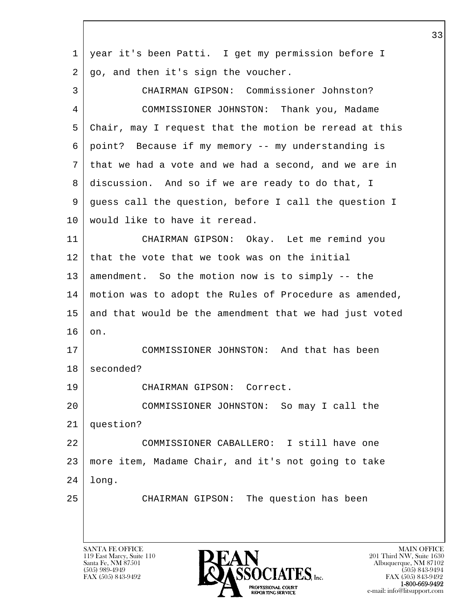| $\mathbf 1$ | year it's been Patti. I get my permission before I     |
|-------------|--------------------------------------------------------|
| 2           | go, and then it's sign the voucher.                    |
| 3           | CHAIRMAN GIPSON: Commissioner Johnston?                |
| 4           | COMMISSIONER JOHNSTON: Thank you, Madame               |
| 5           | Chair, may I request that the motion be reread at this |
| 6           | point? Because if my memory -- my understanding is     |
| 7           | that we had a vote and we had a second, and we are in  |
| 8           | discussion. And so if we are ready to do that, I       |
| 9           | guess call the question, before I call the question I  |
| 10          | would like to have it reread.                          |
| 11          | CHAIRMAN GIPSON: Okay. Let me remind you               |
| 12          | that the vote that we took was on the initial          |
| 13          | amendment. So the motion now is to simply -- the       |
| 14          | motion was to adopt the Rules of Procedure as amended, |
| 15          | and that would be the amendment that we had just voted |
| 16          | on.                                                    |
| 17          | COMMISSIONER JOHNSTON: And that has been               |
| 18          | seconded?                                              |
| 19          | CHAIRMAN GIPSON: Correct.                              |
| 20          | COMMISSIONER JOHNSTON: So may I call the               |
| 21          | question?                                              |
| 22          | COMMISSIONER CABALLERO: I still have one               |
| 23          | more item, Madame Chair, and it's not going to take    |
| 24          | long.                                                  |
| 25          | CHAIRMAN GIPSON: The question has been                 |
|             |                                                        |
|             |                                                        |

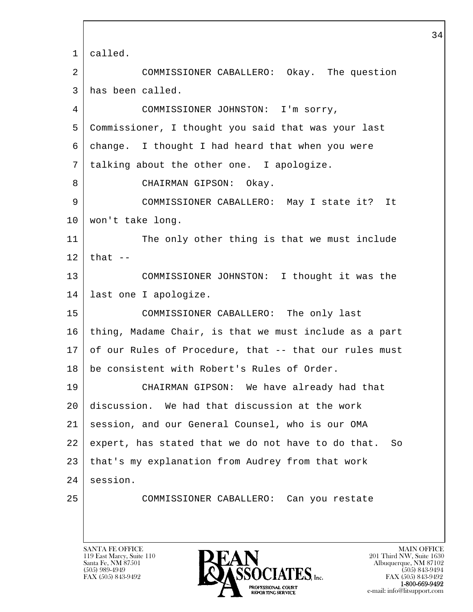l  $\overline{\phantom{a}}$  1 called. 2 COMMISSIONER CABALLERO: Okay. The question 3 has been called. 4 COMMISSIONER JOHNSTON: I'm sorry, 5 Commissioner, I thought you said that was your last 6 change. I thought I had heard that when you were 7 talking about the other one. I apologize. 8 CHAIRMAN GIPSON: Okay. 9 COMMISSIONER CABALLERO: May I state it? It 10 won't take long. 11 The only other thing is that we must include  $12$  that  $-$ 13 COMMISSIONER JOHNSTON: I thought it was the 14 last one I apologize. 15 COMMISSIONER CABALLERO: The only last 16 thing, Madame Chair, is that we must include as a part 17 of our Rules of Procedure, that -- that our rules must 18 be consistent with Robert's Rules of Order. 19 CHAIRMAN GIPSON: We have already had that 20 discussion. We had that discussion at the work 21 session, and our General Counsel, who is our OMA 22 expert, has stated that we do not have to do that. So 23 that's my explanation from Audrey from that work 24 session. 25 COMMISSIONER CABALLERO: Can you restate

119 East Marcy, Suite 110<br>Santa Fe, NM 87501

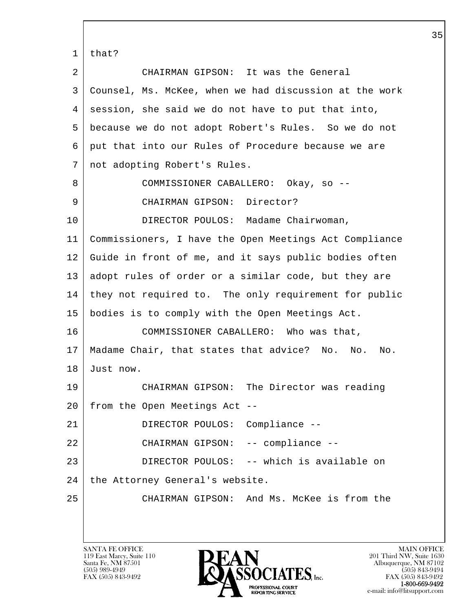l  $\overline{\phantom{a}}$  1 that? 2 CHAIRMAN GIPSON: It was the General 3 Counsel, Ms. McKee, when we had discussion at the work 4 session, she said we do not have to put that into, 5 because we do not adopt Robert's Rules. So we do not 6 put that into our Rules of Procedure because we are 7 not adopting Robert's Rules. 8 COMMISSIONER CABALLERO: Okay, so -- 9 CHAIRMAN GIPSON: Director? 10 DIRECTOR POULOS: Madame Chairwoman, 11 Commissioners, I have the Open Meetings Act Compliance 12 Guide in front of me, and it says public bodies often 13 adopt rules of order or a similar code, but they are 14 they not required to. The only requirement for public 15 bodies is to comply with the Open Meetings Act. 16 COMMISSIONER CABALLERO: Who was that, 17 Madame Chair, that states that advice? No. No. No. 18 Just now. 19 CHAIRMAN GIPSON: The Director was reading 20 from the Open Meetings Act -- 21 DIRECTOR POULOS: Compliance -- 22 CHAIRMAN GIPSON: -- compliance -- 23 DIRECTOR POULOS: -- which is available on  $24$  the Attorney General's website. 25 CHAIRMAN GIPSON: And Ms. McKee is from the

119 East Marcy, Suite 110<br>Santa Fe, NM 87501

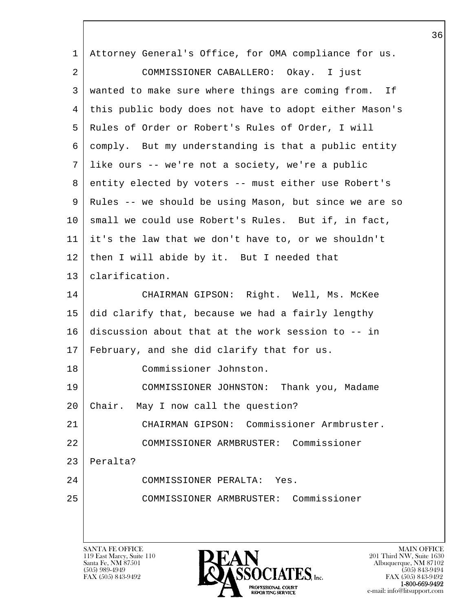| 1  | Attorney General's Office, for OMA compliance for us.                                                         |
|----|---------------------------------------------------------------------------------------------------------------|
| 2  | COMMISSIONER CABALLERO: Okay. I just                                                                          |
| 3  | wanted to make sure where things are coming from. If                                                          |
| 4  | this public body does not have to adopt either Mason's                                                        |
| 5  | Rules of Order or Robert's Rules of Order, I will                                                             |
| 6  | comply. But my understanding is that a public entity                                                          |
| 7  | like ours -- we're not a society, we're a public                                                              |
| 8  | entity elected by voters -- must either use Robert's                                                          |
| 9  | Rules -- we should be using Mason, but since we are so                                                        |
| 10 | small we could use Robert's Rules. But if, in fact,                                                           |
| 11 | it's the law that we don't have to, or we shouldn't                                                           |
| 12 | then I will abide by it. But I needed that                                                                    |
| 13 | clarification.                                                                                                |
| 14 | CHAIRMAN GIPSON: Right. Well, Ms. McKee                                                                       |
| 15 | did clarify that, because we had a fairly lengthy                                                             |
| 16 | discussion about that at the work session to -- in                                                            |
| 17 | February, and she did clarify that for us.                                                                    |
| 18 | Commissioner Johnston.                                                                                        |
| 19 | COMMISSIONER JOHNSTON:<br>Thank you, Madame                                                                   |
| 20 | Chair.<br>May I now call the question?                                                                        |
| 21 | Commissioner Armbruster.<br>CHAIRMAN GIPSON:                                                                  |
| 22 | Commissioner<br>COMMISSIONER ARMBRUSTER:                                                                      |
| 23 | Peralta?                                                                                                      |
| 24 | COMMISSIONER PERALTA:<br>Yes.                                                                                 |
| 25 | Commissioner<br>COMMISSIONER ARMBRUSTER:                                                                      |
|    |                                                                                                               |
|    |                                                                                                               |
|    | <b>SANTA FE OFFICE</b><br><b>MAIN OFFICE</b><br>DEAN<br>201 Third NW, Suite 1630<br>119 East Marcy, Suite 110 |

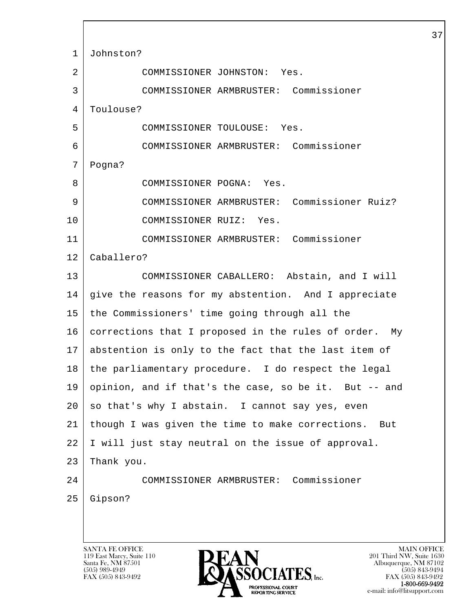l  $\overline{\phantom{a}}$ SANTA FE OFFICE MAIN OFFICE MAIN OFFICE MAIN OFFICE MAIN OFFICE 1 Johnston? 2 COMMISSIONER JOHNSTON: Yes. 3 COMMISSIONER ARMBRUSTER: Commissioner 4 | Toulouse? 5 COMMISSIONER TOULOUSE: Yes. 6 COMMISSIONER ARMBRUSTER: Commissioner 7 Pogna? 8 COMMISSIONER POGNA: Yes. 9 COMMISSIONER ARMBRUSTER: Commissioner Ruiz? 10 COMMISSIONER RUIZ: Yes. 11 COMMISSIONER ARMBRUSTER: Commissioner 12 Caballero? 13 COMMISSIONER CABALLERO: Abstain, and I will 14 give the reasons for my abstention. And I appreciate 15 the Commissioners' time going through all the 16 corrections that I proposed in the rules of order. My 17 abstention is only to the fact that the last item of 18 | the parliamentary procedure. I do respect the legal 19 opinion, and if that's the case, so be it. But -- and  $20$  so that's why I abstain. I cannot say yes, even 21 though I was given the time to make corrections. But 22 I will just stay neutral on the issue of approval. 23 Thank you. 24 COMMISSIONER ARMBRUSTER: Commissioner 25 Gipson?

119 East Marcy, Suite 110<br>Santa Fe, NM 87501

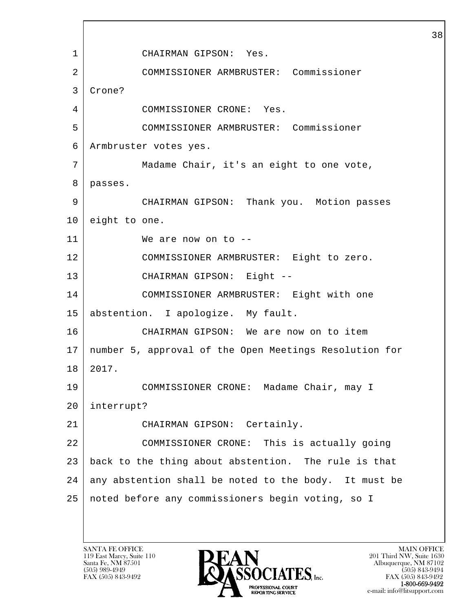l  $\overline{\phantom{a}}$  1 CHAIRMAN GIPSON: Yes. 2 COMMISSIONER ARMBRUSTER: Commissioner 3 Crone? 4 COMMISSIONER CRONE: Yes. 5 COMMISSIONER ARMBRUSTER: Commissioner 6 Armbruster votes yes. 7 Madame Chair, it's an eight to one vote, 8 passes. 9 CHAIRMAN GIPSON: Thank you. Motion passes 10 eight to one. 11 We are now on to -- 12 COMMISSIONER ARMBRUSTER: Eight to zero. 13 CHAIRMAN GIPSON: Eight -- 14 COMMISSIONER ARMBRUSTER: Eight with one 15 abstention. I apologize. My fault. 16 CHAIRMAN GIPSON: We are now on to item 17 number 5, approval of the Open Meetings Resolution for 18 2017. 19 COMMISSIONER CRONE: Madame Chair, may I 20 interrupt? 21 CHAIRMAN GIPSON: Certainly. 22 COMMISSIONER CRONE: This is actually going 23 back to the thing about abstention. The rule is that  $24$  any abstention shall be noted to the body. It must be 25 noted before any commissioners begin voting, so I

119 East Marcy, Suite 110<br>Santa Fe, NM 87501

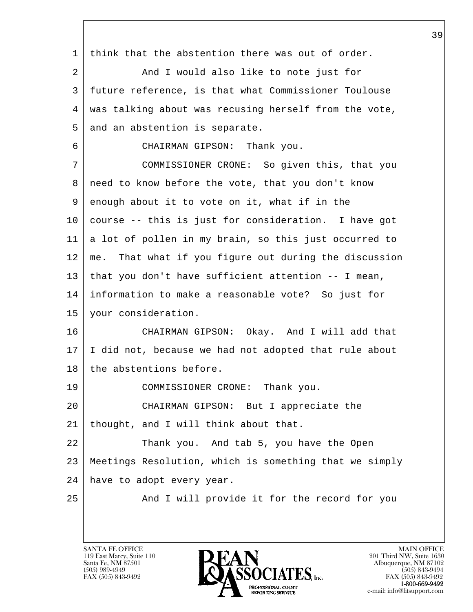l  $\overline{\phantom{a}}$  1 think that the abstention there was out of order. 2 | And I would also like to note just for 3 future reference, is that what Commissioner Toulouse 4 was talking about was recusing herself from the vote, 5 and an abstention is separate. 6 CHAIRMAN GIPSON: Thank you. 7 COMMISSIONER CRONE: So given this, that you 8 need to know before the vote, that you don't know 9 enough about it to vote on it, what if in the 10 course -- this is just for consideration. I have got 11 a lot of pollen in my brain, so this just occurred to 12 me. That what if you figure out during the discussion 13 that you don't have sufficient attention -- I mean, 14 information to make a reasonable vote? So just for 15 your consideration. 16 CHAIRMAN GIPSON: Okay. And I will add that 17 I did not, because we had not adopted that rule about 18 the abstentions before. 19 COMMISSIONER CRONE: Thank you. 20 CHAIRMAN GIPSON: But I appreciate the 21 thought, and I will think about that. 22 Thank you. And tab 5, you have the Open 23 Meetings Resolution, which is something that we simply 24 have to adopt every year. 25 | And I will provide it for the record for you

119 East Marcy, Suite 110<br>Santa Fe, NM 87501

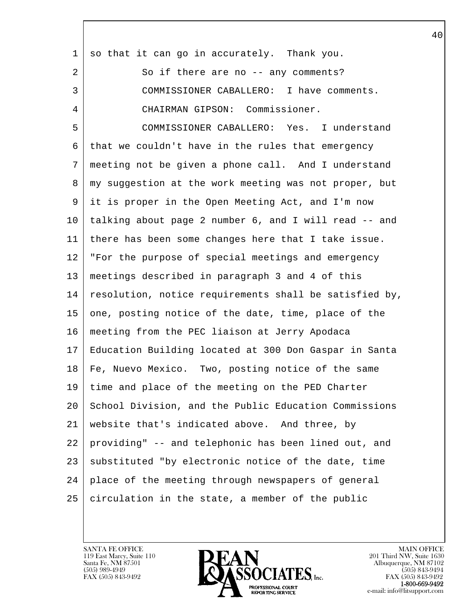| $\mathbf 1$ | so that it can go in accurately. Thank you.            |
|-------------|--------------------------------------------------------|
| 2           | So if there are no -- any comments?                    |
| 3           | COMMISSIONER CABALLERO: I have comments.               |
| 4           | CHAIRMAN GIPSON: Commissioner.                         |
| 5           | COMMISSIONER CABALLERO: Yes. I understand              |
| 6           | that we couldn't have in the rules that emergency      |
| 7           | meeting not be given a phone call. And I understand    |
| 8           | my suggestion at the work meeting was not proper, but  |
| 9           | it is proper in the Open Meeting Act, and I'm now      |
| 10          | talking about page 2 number 6, and I will read -- and  |
| 11          | there has been some changes here that I take issue.    |
| 12          | "For the purpose of special meetings and emergency     |
| 13          | meetings described in paragraph 3 and 4 of this        |
| 14          | resolution, notice requirements shall be satisfied by, |
| 15          | one, posting notice of the date, time, place of the    |
| 16          | meeting from the PEC liaison at Jerry Apodaca          |
| 17          | Education Building located at 300 Don Gaspar in Santa  |
| 18          | Fe, Nuevo Mexico. Two, posting notice of the same      |
| 19          | time and place of the meeting on the PED Charter       |
| 20          | School Division, and the Public Education Commissions  |
| 21          | website that's indicated above. And three, by          |
| 22          | providing" -- and telephonic has been lined out, and   |
| 23          | substituted "by electronic notice of the date, time    |
| 24          | place of the meeting through newspapers of general     |
| 25          | circulation in the state, a member of the public       |
|             |                                                        |

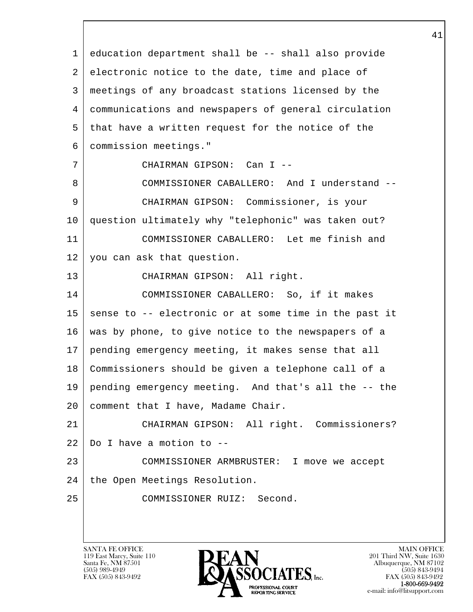l  $\overline{\phantom{a}}$  1 education department shall be -- shall also provide 2 electronic notice to the date, time and place of 3 meetings of any broadcast stations licensed by the 4 communications and newspapers of general circulation 5 that have a written request for the notice of the 6 commission meetings." 7 CHAIRMAN GIPSON: Can I -- 8 COMMISSIONER CABALLERO: And I understand -- 9 CHAIRMAN GIPSON: Commissioner, is your 10 question ultimately why "telephonic" was taken out? 11 COMMISSIONER CABALLERO: Let me finish and 12 you can ask that question. 13 CHAIRMAN GIPSON: All right. 14 COMMISSIONER CABALLERO: So, if it makes  $15$  sense to  $-$ - electronic or at some time in the past it 16 was by phone, to give notice to the newspapers of a 17 pending emergency meeting, it makes sense that all 18 Commissioners should be given a telephone call of a 19 pending emergency meeting. And that's all the -- the 20 | comment that I have, Madame Chair. 21 CHAIRMAN GIPSON: All right. Commissioners?  $22$  Do I have a motion to  $-$ 23 COMMISSIONER ARMBRUSTER: I move we accept 24 | the Open Meetings Resolution. 25 COMMISSIONER RUIZ: Second.

119 East Marcy, Suite 110<br>Santa Fe, NM 87501

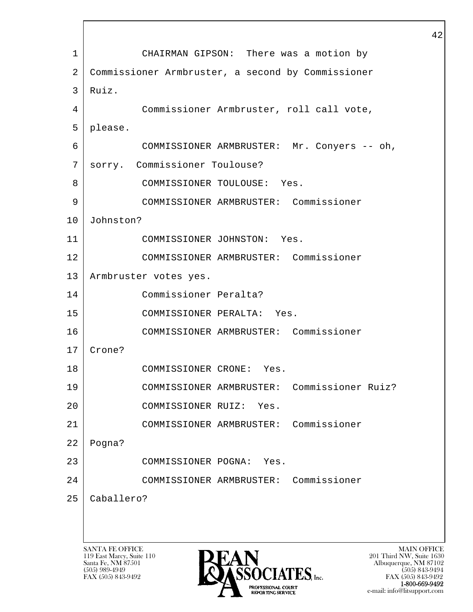l  $\overline{\phantom{a}}$ SANTA FE OFFICE MAIN OFFICE MAIN OFFICE MAIN OFFICE MAIN OFFICE 1 CHAIRMAN GIPSON: There was a motion by 2 Commissioner Armbruster, a second by Commissioner 3 Ruiz. 4 Commissioner Armbruster, roll call vote, 5 please. 6 COMMISSIONER ARMBRUSTER: Mr. Conyers -- oh, 7 sorry. Commissioner Toulouse? 8 COMMISSIONER TOULOUSE: Yes. 9 COMMISSIONER ARMBRUSTER: Commissioner 10 Johnston? 11 COMMISSIONER JOHNSTON: Yes. 12 COMMISSIONER ARMBRUSTER: Commissioner 13 | Armbruster votes yes. 14 Commissioner Peralta? 15 COMMISSIONER PERALTA: Yes. 16 COMMISSIONER ARMBRUSTER: Commissioner 17 Crone? 18 COMMISSIONER CRONE: Yes. 19 COMMISSIONER ARMBRUSTER: Commissioner Ruiz? 20 COMMISSIONER RUIZ: Yes. 21 COMMISSIONER ARMBRUSTER: Commissioner 22 Pogna? 23 COMMISSIONER POGNA: Yes. 24 COMMISSIONER ARMBRUSTER: Commissioner 25 Caballero?

119 East Marcy, Suite 110<br>Santa Fe, NM 87501



FAX (505) 843-9492 FAX (505) 843-9492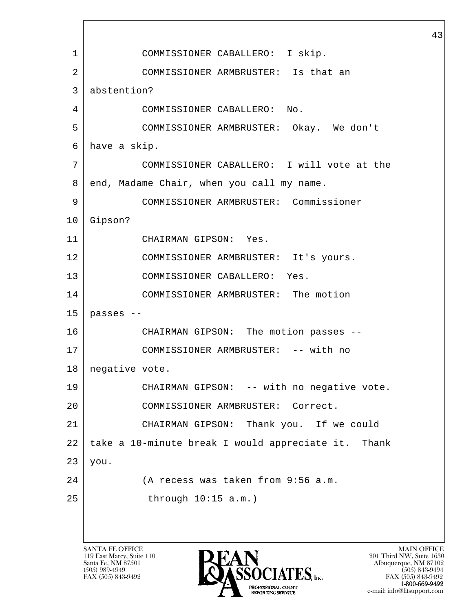l  $\overline{\phantom{a}}$  1 COMMISSIONER CABALLERO: I skip. 2 COMMISSIONER ARMBRUSTER: Is that an 3 abstention? 4 COMMISSIONER CABALLERO: No. 5 COMMISSIONER ARMBRUSTER: Okay. We don't 6 have a skip. 7 COMMISSIONER CABALLERO: I will vote at the 8 end, Madame Chair, when you call my name. 9 COMMISSIONER ARMBRUSTER: Commissioner 10 Gipson? 11 CHAIRMAN GIPSON: Yes. 12 COMMISSIONER ARMBRUSTER: It's yours. 13 COMMISSIONER CABALLERO: Yes. 14 COMMISSIONER ARMBRUSTER: The motion  $15$  passes --16 CHAIRMAN GIPSON: The motion passes -- 17 | COMMISSIONER ARMBRUSTER: -- with no 18 | negative vote. 19 | CHAIRMAN GIPSON: -- with no negative vote. 20 COMMISSIONER ARMBRUSTER: Correct. 21 CHAIRMAN GIPSON: Thank you. If we could 22 take a 10-minute break I would appreciate it. Thank  $23 | you.$ 24 (A recess was taken from 9:56 a.m. 25 through 10:15 a.m.)

119 East Marcy, Suite 110<br>Santa Fe, NM 87501

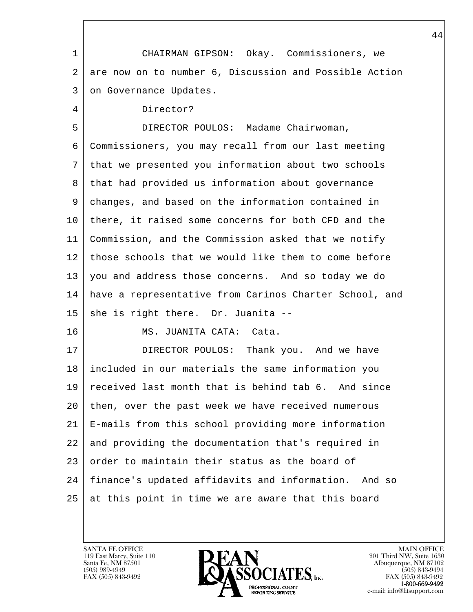| 1       | CHAIRMAN GIPSON: Okay. Commissioners, we               |
|---------|--------------------------------------------------------|
| 2       | are now on to number 6, Discussion and Possible Action |
| 3       | on Governance Updates.                                 |
| 4       | Director?                                              |
| 5       | DIRECTOR POULOS: Madame Chairwoman,                    |
| 6       | Commissioners, you may recall from our last meeting    |
| 7       | that we presented you information about two schools    |
| 8       | that had provided us information about governance      |
| 9       | changes, and based on the information contained in     |
| $10 \,$ | there, it raised some concerns for both CFD and the    |
| 11      | Commission, and the Commission asked that we notify    |
| 12      | those schools that we would like them to come before   |
| 13      | you and address those concerns. And so today we do     |
| 14      | have a representative from Carinos Charter School, and |
| 15      | she is right there. Dr. Juanita --                     |
| 16      | MS. JUANITA CATA:<br>Cata.                             |
| 17      | DIRECTOR POULOS: Thank you. And we have                |
| 18      | included in our materials the same information you     |
| 19      | received last month that is behind tab 6. And since    |
| 20      | then, over the past week we have received numerous     |
| 21      | E-mails from this school providing more information    |
| 22      | and providing the documentation that's required in     |
| 23      | order to maintain their status as the board of         |
| 24      | finance's updated affidavits and information. And so   |
| 25      | at this point in time we are aware that this board     |

 $\overline{\phantom{a}}$ 

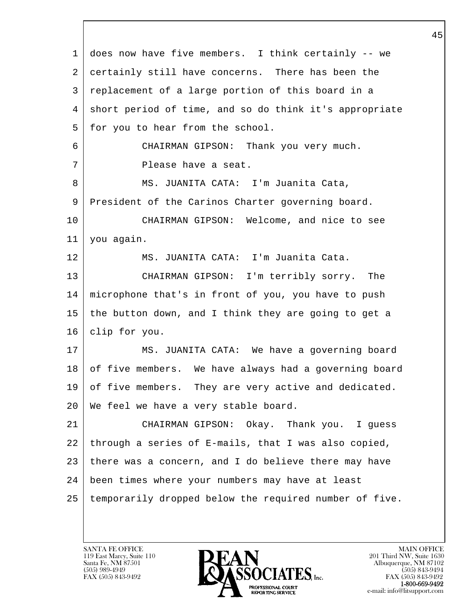| 1  | does now have five members. I think certainly -- we    |
|----|--------------------------------------------------------|
| 2  | certainly still have concerns. There has been the      |
| 3  | replacement of a large portion of this board in a      |
| 4  | short period of time, and so do think it's appropriate |
| 5  | for you to hear from the school.                       |
| 6  | CHAIRMAN GIPSON: Thank you very much.                  |
| 7  | Please have a seat.                                    |
| 8  | MS. JUANITA CATA: I'm Juanita Cata,                    |
| 9  | President of the Carinos Charter governing board.      |
| 10 | CHAIRMAN GIPSON: Welcome, and nice to see              |
| 11 | you again.                                             |
| 12 | MS. JUANITA CATA: I'm Juanita Cata.                    |
| 13 | CHAIRMAN GIPSON: I'm terribly sorry. The               |
| 14 | microphone that's in front of you, you have to push    |
| 15 | the button down, and I think they are going to get a   |
| 16 | clip for you.                                          |
| 17 | MS. JUANITA CATA: We have a governing board            |
| 18 | of five members. We have always had a governing board  |
| 19 | of five members. They are very active and dedicated.   |
| 20 | We feel we have a very stable board.                   |
| 21 | CHAIRMAN GIPSON: Okay. Thank you. I guess              |
| 22 | through a series of E-mails, that I was also copied,   |
| 23 | there was a concern, and I do believe there may have   |
| 24 | been times where your numbers may have at least        |
| 25 | temporarily dropped below the required number of five. |
|    |                                                        |

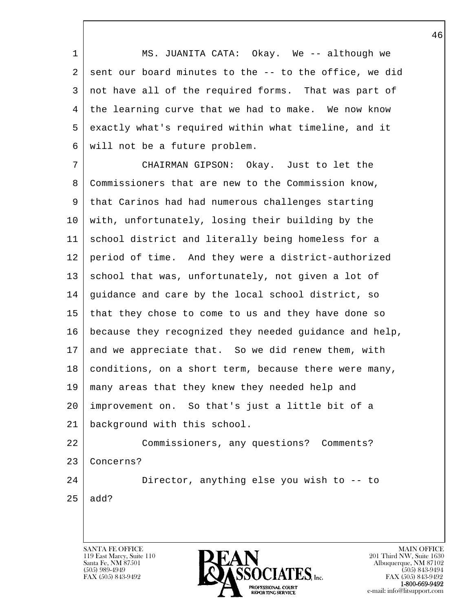1 MS. JUANITA CATA: Okay. We -- although we  $2$  sent our board minutes to the  $-$  to the office, we did 3 not have all of the required forms. That was part of 4 the learning curve that we had to make. We now know 5 exactly what's required within what timeline, and it 6 will not be a future problem.

 7 CHAIRMAN GIPSON: Okay. Just to let the 8 Commissioners that are new to the Commission know, 9 that Carinos had had numerous challenges starting 10 with, unfortunately, losing their building by the 11 school district and literally being homeless for a 12 period of time. And they were a district-authorized 13 | school that was, unfortunately, not given a lot of 14 guidance and care by the local school district, so 15 that they chose to come to us and they have done so 16 because they recognized they needed guidance and help, 17 and we appreciate that. So we did renew them, with 18 | conditions, on a short term, because there were many, 19 many areas that they knew they needed help and 20 improvement on. So that's just a little bit of a 21 background with this school. 22 Commissioners, any questions? Comments? 23 Concerns? 24 Director, anything else you wish to -- to

l  $25$  add?

 $\overline{\phantom{a}}$ 

119 East Marcy, Suite 110<br>Santa Fe, NM 87501

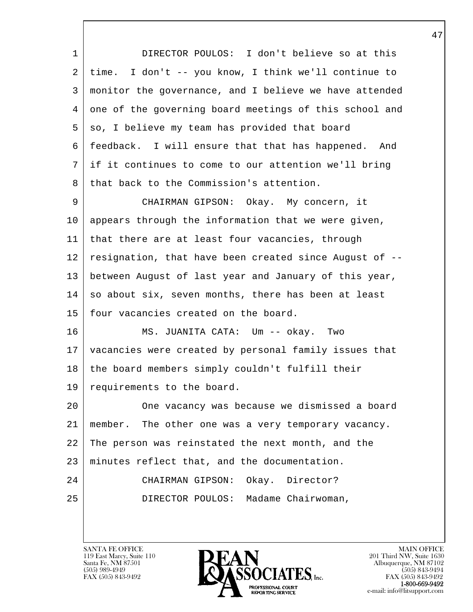| $\mathbf 1$ | DIRECTOR POULOS: I don't believe so at this            |
|-------------|--------------------------------------------------------|
| 2           | time. I don't -- you know, I think we'll continue to   |
| 3           | monitor the governance, and I believe we have attended |
| 4           | one of the governing board meetings of this school and |
| 5           | so, I believe my team has provided that board          |
| 6           | feedback. I will ensure that that has happened. And    |
| 7           | if it continues to come to our attention we'll bring   |
| 8           | that back to the Commission's attention.               |
| 9           | CHAIRMAN GIPSON: Okay. My concern, it                  |
| 10          | appears through the information that we were given,    |
| 11          | that there are at least four vacancies, through        |
| 12          | resignation, that have been created since August of -- |
| 13          | between August of last year and January of this year,  |
| 14          | so about six, seven months, there has been at least    |
| 15          | four vacancies created on the board.                   |
| 16          | MS. JUANITA CATA: Um -- okay. Two                      |
| 17          | vacancies were created by personal family issues that  |
| 18          | the board members simply couldn't fulfill their        |
| 19          | requirements to the board.                             |
| 20          | One vacancy was because we dismissed a board           |
| 21          | member. The other one was a very temporary vacancy.    |
| 22          | The person was reinstated the next month, and the      |
| 23          | minutes reflect that, and the documentation.           |
| 24          | Okay. Director?<br>CHAIRMAN GIPSON:                    |
| 25          | DIRECTOR POULOS: Madame Chairwoman,                    |
|             |                                                        |

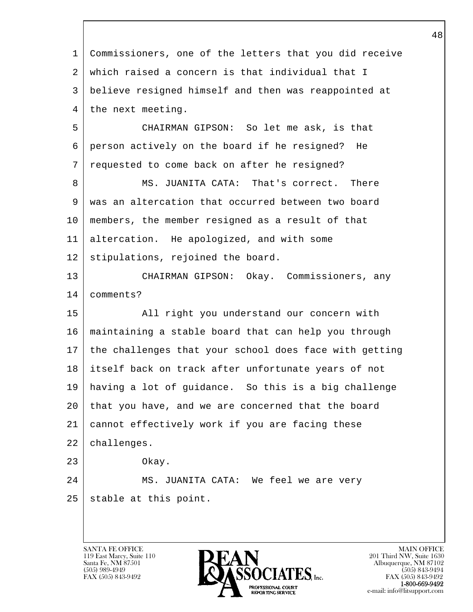l  $\overline{\phantom{a}}$  1 Commissioners, one of the letters that you did receive 2 which raised a concern is that individual that I 3 believe resigned himself and then was reappointed at 4 the next meeting. 5 CHAIRMAN GIPSON: So let me ask, is that 6 person actively on the board if he resigned? He 7 requested to come back on after he resigned? 8 MS. JUANITA CATA: That's correct. There 9 was an altercation that occurred between two board 10 members, the member resigned as a result of that 11 altercation. He apologized, and with some 12 stipulations, rejoined the board. 13 CHAIRMAN GIPSON: Okay. Commissioners, any 14 comments? 15 All right you understand our concern with 16 maintaining a stable board that can help you through 17 the challenges that your school does face with getting 18 itself back on track after unfortunate years of not 19 having a lot of guidance. So this is a big challenge 20 that you have, and we are concerned that the board 21 cannot effectively work if you are facing these 22 challenges. 23 Okay. 24 MS. JUANITA CATA: We feel we are very 25 stable at this point.

119 East Marcy, Suite 110<br>Santa Fe, NM 87501

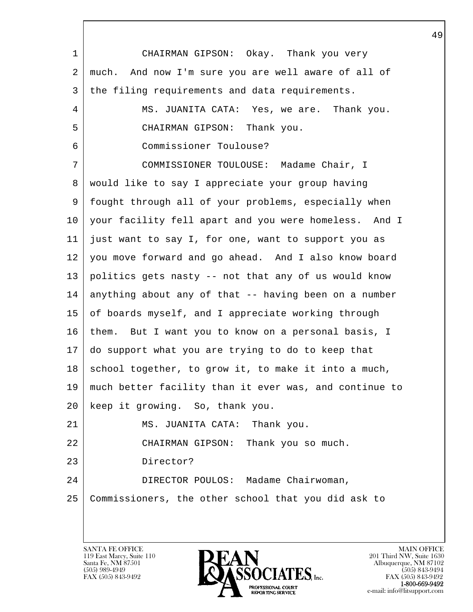l  $\overline{\phantom{a}}$  1 CHAIRMAN GIPSON: Okay. Thank you very 2 much. And now I'm sure you are well aware of all of 3 the filing requirements and data requirements. 4 MS. JUANITA CATA: Yes, we are. Thank you. 5 CHAIRMAN GIPSON: Thank you. 6 Commissioner Toulouse? 7 COMMISSIONER TOULOUSE: Madame Chair, I 8 would like to say I appreciate your group having 9 fought through all of your problems, especially when 10 your facility fell apart and you were homeless. And I 11 just want to say I, for one, want to support you as 12 you move forward and go ahead. And I also know board 13 politics gets nasty -- not that any of us would know 14 anything about any of that -- having been on a number 15 of boards myself, and I appreciate working through 16 | them. But I want you to know on a personal basis, I 17 do support what you are trying to do to keep that  $18$  school together, to grow it, to make it into a much, 19 much better facility than it ever was, and continue to 20 keep it growing. So, thank you. 21 | MS. JUANITA CATA: Thank you. 22 CHAIRMAN GIPSON: Thank you so much. 23 Director? 24 DIRECTOR POULOS: Madame Chairwoman, 25 Commissioners, the other school that you did ask to

119 East Marcy, Suite 110<br>Santa Fe, NM 87501

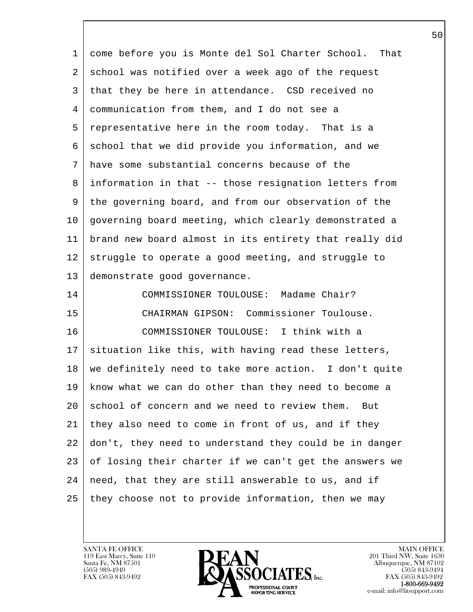l  $\overline{\phantom{a}}$  1 come before you is Monte del Sol Charter School. That 2 school was notified over a week ago of the request 3 that they be here in attendance. CSD received no 4 communication from them, and I do not see a 5 representative here in the room today. That is a 6 school that we did provide you information, and we 7 have some substantial concerns because of the 8 information in that -- those resignation letters from 9 the governing board, and from our observation of the 10 governing board meeting, which clearly demonstrated a 11 brand new board almost in its entirety that really did 12 struggle to operate a good meeting, and struggle to 13 demonstrate good governance. 14 COMMISSIONER TOULOUSE: Madame Chair? 15 CHAIRMAN GIPSON: Commissioner Toulouse. 16 COMMISSIONER TOULOUSE: I think with a  $17$  situation like this, with having read these letters, 18 we definitely need to take more action. I don't quite 19 know what we can do other than they need to become a 20 school of concern and we need to review them. But 21 they also need to come in front of us, and if they 22 don't, they need to understand they could be in danger 23 of losing their charter if we can't get the answers we  $24$  need, that they are still answerable to us, and if 25 they choose not to provide information, then we may

119 East Marcy, Suite 110<br>Santa Fe, NM 87501

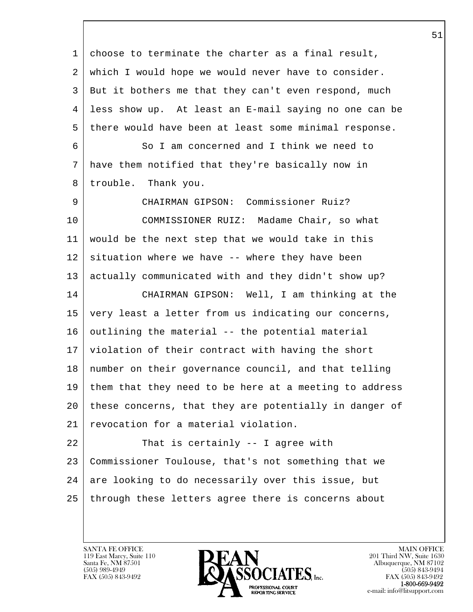l 1 choose to terminate the charter as a final result, 2 which I would hope we would never have to consider. 3 But it bothers me that they can't even respond, much 4 less show up. At least an E-mail saying no one can be 5 there would have been at least some minimal response. 6 So I am concerned and I think we need to 7 have them notified that they're basically now in 8 | trouble. Thank you. 9 CHAIRMAN GIPSON: Commissioner Ruiz? 10 COMMISSIONER RUIZ: Madame Chair, so what 11 would be the next step that we would take in this  $12$  situation where we have  $-$  where they have been 13 actually communicated with and they didn't show up? 14 CHAIRMAN GIPSON: Well, I am thinking at the 15 very least a letter from us indicating our concerns,  $16$  outlining the material  $-$  the potential material 17 violation of their contract with having the short 18 number on their governance council, and that telling 19 them that they need to be here at a meeting to address 20 these concerns, that they are potentially in danger of 21 revocation for a material violation. 22 That is certainly -- I agree with 23 Commissioner Toulouse, that's not something that we  $24$  are looking to do necessarily over this issue, but 25 through these letters agree there is concerns about

119 East Marcy, Suite 110<br>Santa Fe, NM 87501

 $\overline{\phantom{a}}$ 

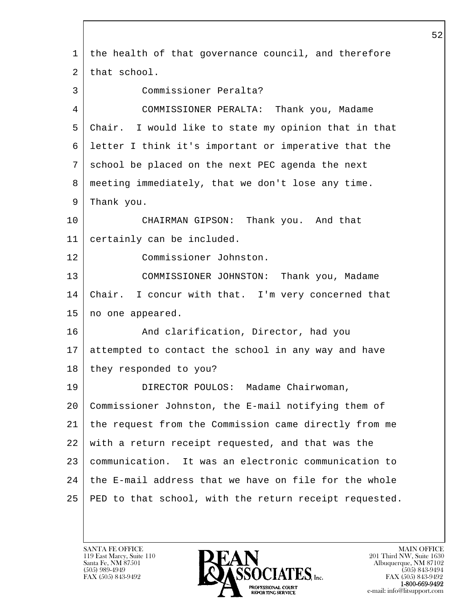l  $\overline{\phantom{a}}$  1 the health of that governance council, and therefore 2 that school. 3 Commissioner Peralta? 4 COMMISSIONER PERALTA: Thank you, Madame 5 Chair. I would like to state my opinion that in that 6 letter I think it's important or imperative that the 7 school be placed on the next PEC agenda the next 8 meeting immediately, that we don't lose any time. 9 Thank you. 10 CHAIRMAN GIPSON: Thank you. And that 11 certainly can be included. 12 Commissioner Johnston. 13 COMMISSIONER JOHNSTON: Thank you, Madame 14 Chair. I concur with that. I'm very concerned that 15 no one appeared. 16 | And clarification, Director, had you 17 attempted to contact the school in any way and have 18 they responded to you? 19 DIRECTOR POULOS: Madame Chairwoman, 20 Commissioner Johnston, the E-mail notifying them of 21 the request from the Commission came directly from me 22 with a return receipt requested, and that was the 23 communication. It was an electronic communication to 24 the E-mail address that we have on file for the whole 25 PED to that school, with the return receipt requested.

119 East Marcy, Suite 110<br>Santa Fe, NM 87501

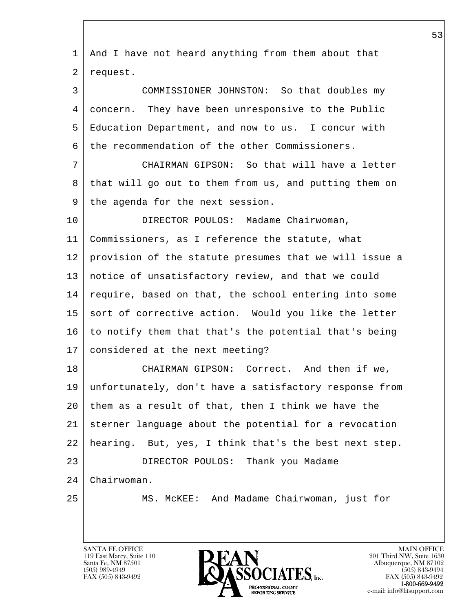| $\mathbf 1$ | And I have not heard anything from them about that     |
|-------------|--------------------------------------------------------|
| 2           | request.                                               |
| 3           | COMMISSIONER JOHNSTON: So that doubles my              |
| 4           | concern. They have been unresponsive to the Public     |
| 5           | Education Department, and now to us. I concur with     |
| 6           | the recommendation of the other Commissioners.         |
| 7           | CHAIRMAN GIPSON: So that will have a letter            |
| 8           | that will go out to them from us, and putting them on  |
| 9           | the agenda for the next session.                       |
| 10          | DIRECTOR POULOS: Madame Chairwoman,                    |
| 11          | Commissioners, as I reference the statute, what        |
| 12          | provision of the statute presumes that we will issue a |
| 13          | notice of unsatisfactory review, and that we could     |
| 14          | require, based on that, the school entering into some  |
| 15          | sort of corrective action. Would you like the letter   |
| 16          | to notify them that that's the potential that's being  |
| 17          | considered at the next meeting?                        |
| 18          | CHAIRMAN GIPSON: Correct. And then if we,              |
| 19          | unfortunately, don't have a satisfactory response from |
| 20          | them as a result of that, then I think we have the     |
| 21          | sterner language about the potential for a revocation  |
| 22          | hearing. But, yes, I think that's the best next step.  |
| 23          | DIRECTOR POULOS: Thank you Madame                      |
| 24          | Chairwoman.                                            |
| 25          | MS. MCKEE: And Madame Chairwoman, just for             |
|             |                                                        |
|             |                                                        |

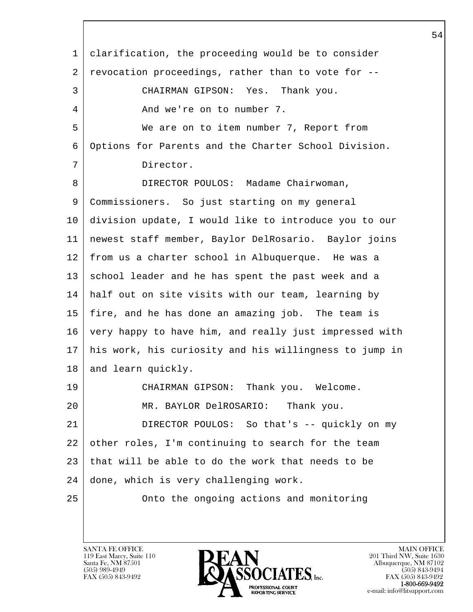l  $\overline{\phantom{a}}$  1 clarification, the proceeding would be to consider 2 revocation proceedings, rather than to vote for -- 3 CHAIRMAN GIPSON: Yes. Thank you. 4 And we're on to number 7. 5 We are on to item number 7, Report from 6 Options for Parents and the Charter School Division. 7 Director. 8 DIRECTOR POULOS: Madame Chairwoman, 9 Commissioners. So just starting on my general 10 division update, I would like to introduce you to our 11 newest staff member, Baylor DelRosario. Baylor joins 12 from us a charter school in Albuquerque. He was a 13 school leader and he has spent the past week and a 14 half out on site visits with our team, learning by 15 fire, and he has done an amazing job. The team is 16 very happy to have him, and really just impressed with 17 his work, his curiosity and his willingness to jump in 18 and learn quickly. 19 CHAIRMAN GIPSON: Thank you. Welcome. 20 MR. BAYLOR DelROSARIO: Thank you. 21 DIRECTOR POULOS: So that's -- quickly on my 22 other roles, I'm continuing to search for the team 23 that will be able to do the work that needs to be 24 done, which is very challenging work. 25 | Conto the ongoing actions and monitoring

119 East Marcy, Suite 110<br>Santa Fe, NM 87501

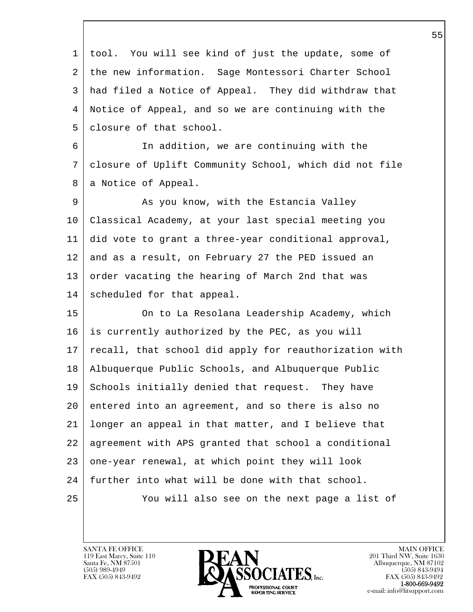l  $\overline{\phantom{a}}$  1 tool. You will see kind of just the update, some of 2 the new information. Sage Montessori Charter School 3 had filed a Notice of Appeal. They did withdraw that 4 Notice of Appeal, and so we are continuing with the 5 | closure of that school. 6 In addition, we are continuing with the 7 closure of Uplift Community School, which did not file 8 | a Notice of Appeal. 9 As you know, with the Estancia Valley 10 Classical Academy, at your last special meeting you 11 did vote to grant a three-year conditional approval, 12 and as a result, on February 27 the PED issued an 13 order vacating the hearing of March 2nd that was 14 scheduled for that appeal. 15 | Computed Charage Characeae Cademy, which 16 is currently authorized by the PEC, as you will 17 | recall, that school did apply for reauthorization with 18 Albuquerque Public Schools, and Albuquerque Public 19 Schools initially denied that request. They have 20 entered into an agreement, and so there is also no 21 longer an appeal in that matter, and I believe that 22 agreement with APS granted that school a conditional 23 one-year renewal, at which point they will look 24 further into what will be done with that school. 25 You will also see on the next page a list of

119 East Marcy, Suite 110<br>Santa Fe, NM 87501

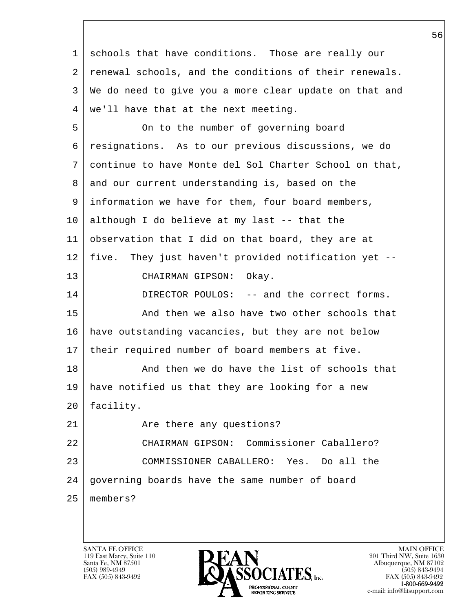l  $\overline{\phantom{a}}$  1 schools that have conditions. Those are really our 2 | renewal schools, and the conditions of their renewals. 3 We do need to give you a more clear update on that and 4 we'll have that at the next meeting. 5 On to the number of governing board 6 resignations. As to our previous discussions, we do 7 continue to have Monte del Sol Charter School on that, 8 and our current understanding is, based on the 9 information we have for them, four board members, 10 although I do believe at my last -- that the 11 observation that I did on that board, they are at 12 five. They just haven't provided notification yet -- 13 CHAIRMAN GIPSON: Okay. 14 DIRECTOR POULOS: -- and the correct forms. 15 | And then we also have two other schools that 16 have outstanding vacancies, but they are not below 17 their required number of board members at five. 18 And then we do have the list of schools that 19 have notified us that they are looking for a new 20 facility. 21 Are there any questions? 22 CHAIRMAN GIPSON: Commissioner Caballero? 23 COMMISSIONER CABALLERO: Yes. Do all the 24 governing boards have the same number of board 25 members?

119 East Marcy, Suite 110<br>Santa Fe, NM 87501

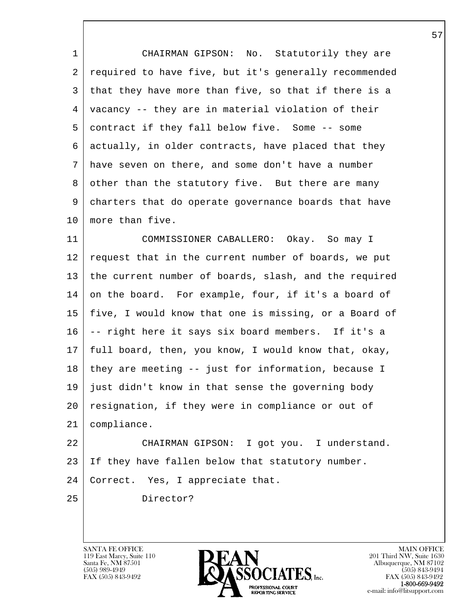1 CHAIRMAN GIPSON: No. Statutorily they are 2 required to have five, but it's generally recommended 3 that they have more than five, so that if there is a 4 vacancy -- they are in material violation of their 5 contract if they fall below five. Some -- some 6 actually, in older contracts, have placed that they 7 have seven on there, and some don't have a number 8 other than the statutory five. But there are many 9 charters that do operate governance boards that have 10 | more than five.

11 COMMISSIONER CABALLERO: Okay. So may I 12 request that in the current number of boards, we put 13 | the current number of boards, slash, and the required 14 on the board. For example, four, if it's a board of 15 five, I would know that one is missing, or a Board of 16 -- right here it says six board members. If it's a 17 full board, then, you know, I would know that, okay, 18 they are meeting -- just for information, because I 19 just didn't know in that sense the governing body 20 | resignation, if they were in compliance or out of 21 compliance.

22 CHAIRMAN GIPSON: I got you. I understand. 23 If they have fallen below that statutory number. 24 | Correct. Yes, I appreciate that.

l 25 Director?

 $\overline{\phantom{a}}$ 

119 East Marcy, Suite 110<br>Santa Fe, NM 87501



FAX (505) 843-9492 FAX (505) 843-9492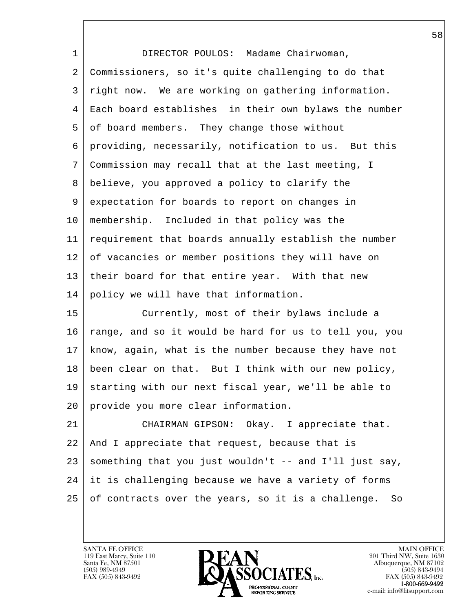| $\mathbf 1$ | DIRECTOR POULOS: Madame Chairwoman,                      |
|-------------|----------------------------------------------------------|
| 2           | Commissioners, so it's quite challenging to do that      |
| 3           | right now. We are working on gathering information.      |
| 4           | Each board establishes in their own bylaws the number    |
| 5           | of board members. They change those without              |
| 6           | providing, necessarily, notification to us. But this     |
| 7           | Commission may recall that at the last meeting, I        |
| 8           | believe, you approved a policy to clarify the            |
| 9           | expectation for boards to report on changes in           |
| 10          | membership. Included in that policy was the              |
| 11          | requirement that boards annually establish the number    |
| 12          | of vacancies or member positions they will have on       |
| 13          | their board for that entire year. With that new          |
| 14          | policy we will have that information.                    |
| 15          | Currently, most of their bylaws include a                |
| 16          | range, and so it would be hard for us to tell you, you   |
| 17          | know, again, what is the number because they have not    |
| 18          | been clear on that. But I think with our new policy,     |
| 19          | starting with our next fiscal year, we'll be able to     |
| 20          | provide you more clear information.                      |
| 21          | CHAIRMAN GIPSON: Okay. I appreciate that.                |
| 22          | And I appreciate that request, because that is           |
| 23          | something that you just wouldn't -- and I'll just say,   |
| 24          | it is challenging because we have a variety of forms     |
| 25          | of contracts over the years, so it is a challenge.<br>So |
|             |                                                          |

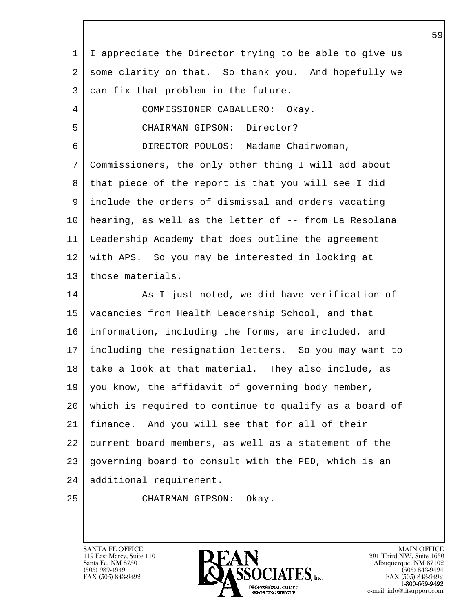l 1 I appreciate the Director trying to be able to give us 2 some clarity on that. So thank you. And hopefully we 3 can fix that problem in the future. 4 COMMISSIONER CABALLERO: Okay. 5 CHAIRMAN GIPSON: Director? 6 DIRECTOR POULOS: Madame Chairwoman, 7 Commissioners, the only other thing I will add about 8 that piece of the report is that you will see I did 9 include the orders of dismissal and orders vacating 10 hearing, as well as the letter of -- from La Resolana 11 Leadership Academy that does outline the agreement 12 with APS. So you may be interested in looking at 13 | those materials. 14 As I just noted, we did have verification of 15 vacancies from Health Leadership School, and that 16 information, including the forms, are included, and 17 including the resignation letters. So you may want to 18 take a look at that material. They also include, as 19 | you know, the affidavit of governing body member, 20 which is required to continue to qualify as a board of 21 finance. And you will see that for all of their 22 current board members, as well as a statement of the 23 governing board to consult with the PED, which is an 24 additional requirement. 25 CHAIRMAN GIPSON: Okay.

119 East Marcy, Suite 110<br>Santa Fe, NM 87501

 $\overline{\phantom{a}}$ 

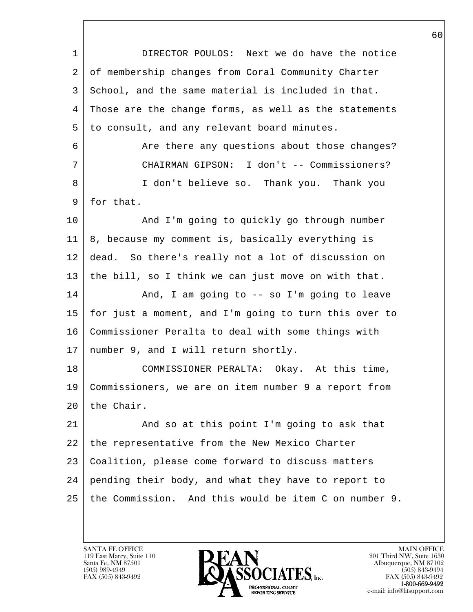| 1  | DIRECTOR POULOS: Next we do have the notice           |
|----|-------------------------------------------------------|
| 2  | of membership changes from Coral Community Charter    |
| 3  | School, and the same material is included in that.    |
| 4  | Those are the change forms, as well as the statements |
| 5  | to consult, and any relevant board minutes.           |
| 6  | Are there any questions about those changes?          |
| 7  | CHAIRMAN GIPSON: I don't -- Commissioners?            |
| 8  | I don't believe so. Thank you. Thank you              |
| 9  | for that.                                             |
| 10 | And I'm going to quickly go through number            |
| 11 | 8, because my comment is, basically everything is     |
| 12 | dead. So there's really not a lot of discussion on    |
| 13 | the bill, so I think we can just move on with that.   |
| 14 | And, I am going to $-$ so I'm going to leave          |
| 15 | for just a moment, and I'm going to turn this over to |
| 16 | Commissioner Peralta to deal with some things with    |
| 17 | number 9, and I will return shortly.                  |
| 18 | COMMISSIONER PERALTA: Okay. At this time,             |
| 19 | Commissioners, we are on item number 9 a report from  |
| 20 | the Chair.                                            |
| 21 | And so at this point I'm going to ask that            |
| 22 | the representative from the New Mexico Charter        |
| 23 | Coalition, please come forward to discuss matters     |
| 24 | pending their body, and what they have to report to   |
| 25 | the Commission. And this would be item C on number 9. |
|    |                                                       |

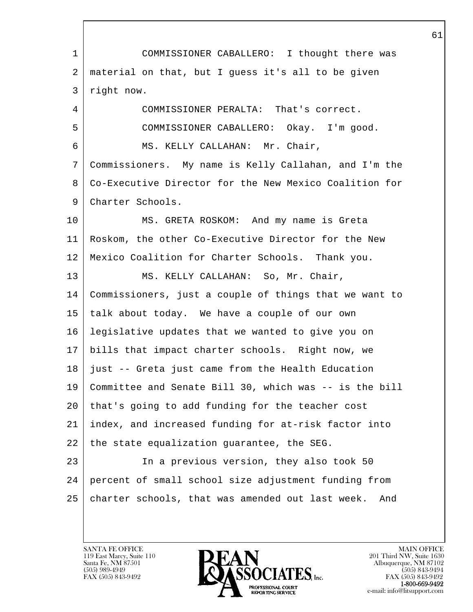l  $\overline{\phantom{a}}$  1 COMMISSIONER CABALLERO: I thought there was 2 material on that, but I guess it's all to be given 3 right now. 4 COMMISSIONER PERALTA: That's correct. 5 COMMISSIONER CABALLERO: Okay. I'm good. 6 MS. KELLY CALLAHAN: Mr. Chair, 7 Commissioners. My name is Kelly Callahan, and I'm the 8 Co-Executive Director for the New Mexico Coalition for 9 Charter Schools. 10 | MS. GRETA ROSKOM: And my name is Greta 11 Roskom, the other Co-Executive Director for the New 12 Mexico Coalition for Charter Schools. Thank you. 13 | MS. KELLY CALLAHAN: So, Mr. Chair, 14 Commissioners, just a couple of things that we want to 15 talk about today. We have a couple of our own 16 legislative updates that we wanted to give you on 17 bills that impact charter schools. Right now, we 18 just -- Greta just came from the Health Education 19 Committee and Senate Bill 30, which was -- is the bill 20 that's going to add funding for the teacher cost 21 index, and increased funding for at-risk factor into  $22$  the state equalization guarantee, the SEG. 23 In a previous version, they also took 50 24 percent of small school size adjustment funding from 25 charter schools, that was amended out last week. And

119 East Marcy, Suite 110<br>Santa Fe, NM 87501

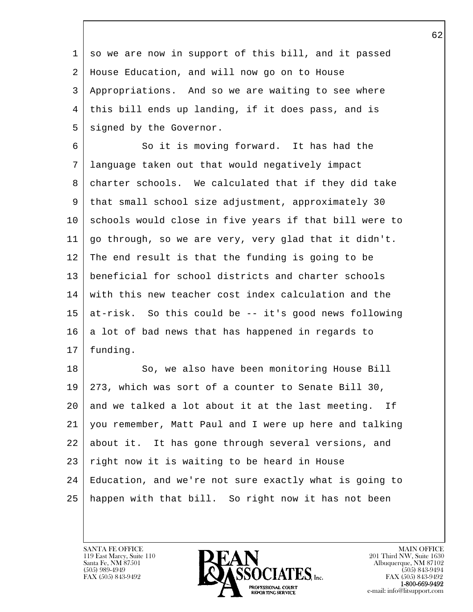1 so we are now in support of this bill, and it passed 2 House Education, and will now go on to House 3 Appropriations. And so we are waiting to see where 4 this bill ends up landing, if it does pass, and is 5 signed by the Governor.

 6 So it is moving forward. It has had the 7 language taken out that would negatively impact 8 charter schools. We calculated that if they did take 9 that small school size adjustment, approximately 30 10 schools would close in five years if that bill were to 11 go through, so we are very, very glad that it didn't. 12 The end result is that the funding is going to be 13 beneficial for school districts and charter schools 14 with this new teacher cost index calculation and the 15 at-risk. So this could be -- it's good news following  $16$  a lot of bad news that has happened in regards to 17 funding.

l 18 So, we also have been monitoring House Bill 19 273, which was sort of a counter to Senate Bill 30,  $20$  and we talked a lot about it at the last meeting. If 21 you remember, Matt Paul and I were up here and talking 22 about it. It has gone through several versions, and 23 right now it is waiting to be heard in House 24 Education, and we're not sure exactly what is going to 25 happen with that bill. So right now it has not been

119 East Marcy, Suite 110<br>Santa Fe, NM 87501

 $\overline{\phantom{a}}$ 

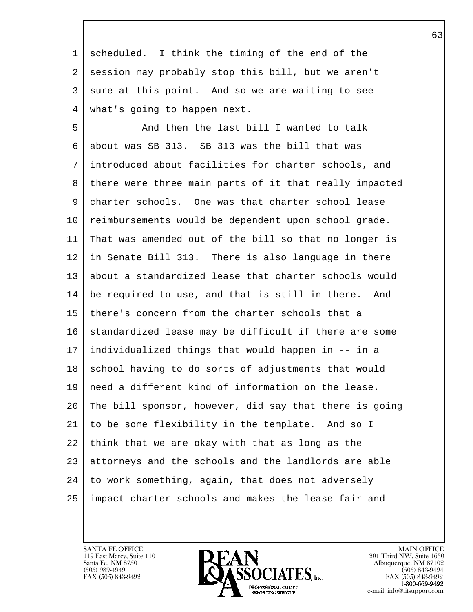1 scheduled. I think the timing of the end of the 2 session may probably stop this bill, but we aren't 3 sure at this point. And so we are waiting to see 4 what's going to happen next.

l 5 And then the last bill I wanted to talk 6 about was SB 313. SB 313 was the bill that was 7 introduced about facilities for charter schools, and 8 there were three main parts of it that really impacted 9 charter schools. One was that charter school lease 10 reimbursements would be dependent upon school grade. 11 That was amended out of the bill so that no longer is 12 in Senate Bill 313. There is also language in there 13 about a standardized lease that charter schools would 14 be required to use, and that is still in there. And 15 there's concern from the charter schools that a 16 standardized lease may be difficult if there are some 17 individualized things that would happen in -- in a 18 school having to do sorts of adjustments that would 19 need a different kind of information on the lease. 20 The bill sponsor, however, did say that there is going 21 to be some flexibility in the template. And so I 22 think that we are okay with that as long as the 23 attorneys and the schools and the landlords are able 24 to work something, again, that does not adversely 25 impact charter schools and makes the lease fair and

119 East Marcy, Suite 110<br>Santa Fe, NM 87501

 $\overline{\phantom{a}}$ 

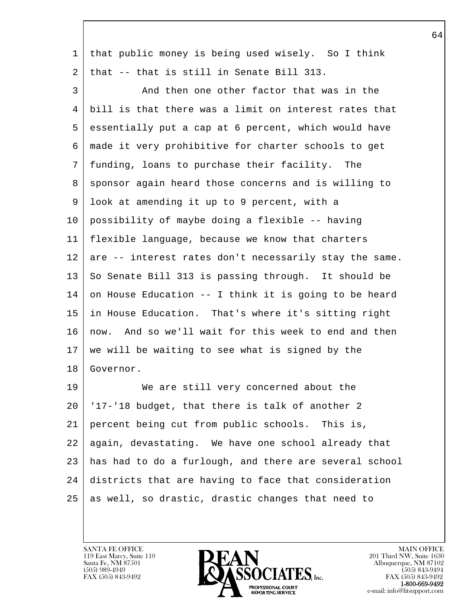| $\mathbf 1$ | that public money is being used wisely. So I think     |
|-------------|--------------------------------------------------------|
| 2           | that -- that is still in Senate Bill 313.              |
| 3           | And then one other factor that was in the              |
| 4           | bill is that there was a limit on interest rates that  |
| 5           | essentially put a cap at 6 percent, which would have   |
| 6           | made it very prohibitive for charter schools to get    |
| 7           | funding, loans to purchase their facility. The         |
| 8           | sponsor again heard those concerns and is willing to   |
| 9           | look at amending it up to 9 percent, with a            |
| 10          | possibility of maybe doing a flexible -- having        |
| 11          | flexible language, because we know that charters       |
| 12          | are -- interest rates don't necessarily stay the same. |
| 13          | So Senate Bill 313 is passing through. It should be    |
| 14          | on House Education -- I think it is going to be heard  |
| 15          | in House Education. That's where it's sitting right    |
| 16          | now. And so we'll wait for this week to end and then   |
| 17          | we will be waiting to see what is signed by the        |
| 18          | Governor.                                              |
| 19          | We are still very concerned about the                  |
| 20          | '17-'18 budget, that there is talk of another 2        |
| 21          | percent being cut from public schools. This is,        |
| 22          | again, devastating. We have one school already that    |
| 23          | has had to do a furlough, and there are several school |
| 24          | districts that are having to face that consideration   |
| 25          | as well, so drastic, drastic changes that need to      |
|             |                                                        |

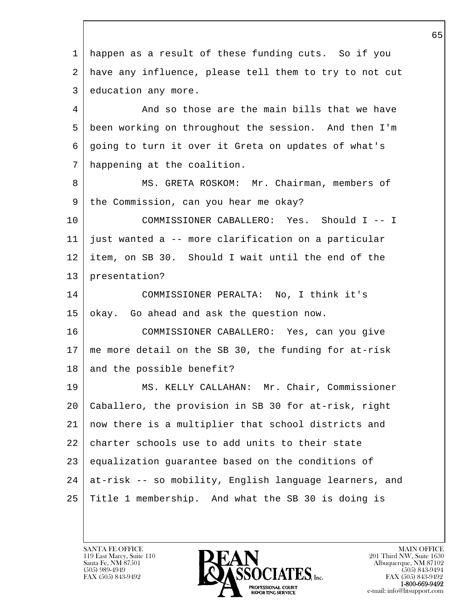l  $\overline{\phantom{a}}$  1 happen as a result of these funding cuts. So if you 2 have any influence, please tell them to try to not cut 3 education any more. 4 And so those are the main bills that we have 5 been working on throughout the session. And then I'm 6 going to turn it over it Greta on updates of what's 7 happening at the coalition. 8 MS. GRETA ROSKOM: Mr. Chairman, members of 9 the Commission, can you hear me okay? 10 COMMISSIONER CABALLERO: Yes. Should I -- I 11 just wanted a -- more clarification on a particular 12 item, on SB 30. Should I wait until the end of the 13 presentation? 14 COMMISSIONER PERALTA: No, I think it's 15 okay. Go ahead and ask the question now. 16 COMMISSIONER CABALLERO: Yes, can you give 17 me more detail on the SB 30, the funding for at-risk 18 and the possible benefit? 19 MS. KELLY CALLAHAN: Mr. Chair, Commissioner 20 Caballero, the provision in SB 30 for at-risk, right 21 now there is a multiplier that school districts and 22 charter schools use to add units to their state 23 equalization guarantee based on the conditions of 24 at-risk -- so mobility, English language learners, and 25 Title 1 membership. And what the SB 30 is doing is

119 East Marcy, Suite 110<br>Santa Fe, NM 87501

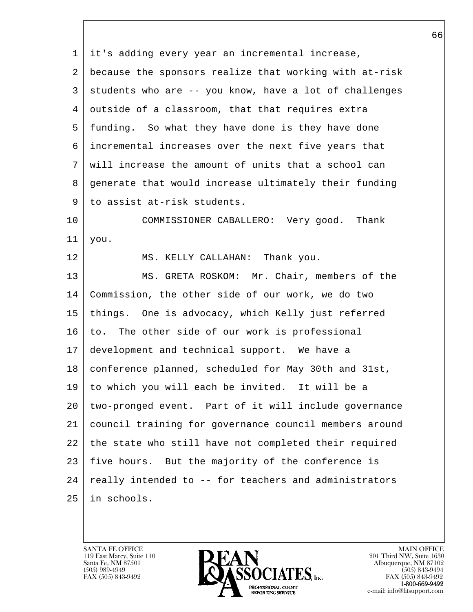l  $\overline{\phantom{a}}$  1 it's adding every year an incremental increase, 2 because the sponsors realize that working with at-risk 3 students who are -- you know, have a lot of challenges 4 outside of a classroom, that that requires extra 5 funding. So what they have done is they have done 6 incremental increases over the next five years that 7 will increase the amount of units that a school can 8 generate that would increase ultimately their funding 9 to assist at-risk students. 10 COMMISSIONER CABALLERO: Very good. Thank  $11$  you. 12 MS. KELLY CALLAHAN: Thank you. 13 | MS. GRETA ROSKOM: Mr. Chair, members of the 14 Commission, the other side of our work, we do two 15 things. One is advocacy, which Kelly just referred 16 to. The other side of our work is professional 17 development and technical support. We have a 18 conference planned, scheduled for May 30th and 31st, 19 to which you will each be invited. It will be a 20 two-pronged event. Part of it will include governance 21 council training for governance council members around 22 the state who still have not completed their required 23 five hours. But the majority of the conference is  $24$  really intended to  $-$  for teachers and administrators 25 in schools.

119 East Marcy, Suite 110<br>Santa Fe, NM 87501

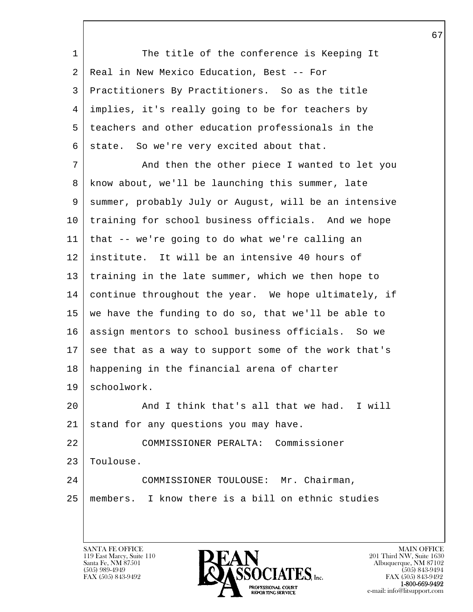l  $\overline{\phantom{a}}$ 1 The title of the conference is Keeping It 2 Real in New Mexico Education, Best -- For 3 Practitioners By Practitioners. So as the title 4 implies, it's really going to be for teachers by 5 teachers and other education professionals in the 6 state. So we're very excited about that. 7 And then the other piece I wanted to let you 8 know about, we'll be launching this summer, late 9 summer, probably July or August, will be an intensive 10 | training for school business officials. And we hope 11 that -- we're going to do what we're calling an 12 institute. It will be an intensive 40 hours of 13 | training in the late summer, which we then hope to 14 continue throughout the year. We hope ultimately, if 15 we have the funding to do so, that we'll be able to 16 assign mentors to school business officials. So we 17 see that as a way to support some of the work that's 18 happening in the financial arena of charter 19 schoolwork. 20 And I think that's all that we had. I will 21 stand for any questions you may have. 22 COMMISSIONER PERALTA: Commissioner 23 | Toulouse. 24 COMMISSIONER TOULOUSE: Mr. Chairman, 25 members. I know there is a bill on ethnic studies

119 East Marcy, Suite 110<br>Santa Fe, NM 87501



FAX (505) 843-9492<br>**1-800-669-9492**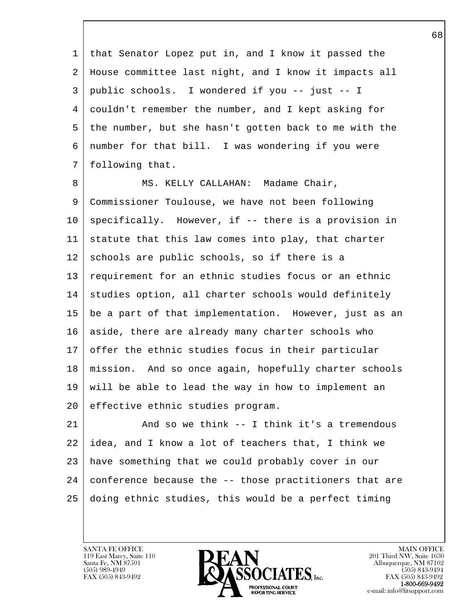1 that Senator Lopez put in, and I know it passed the 2 House committee last night, and I know it impacts all 3 public schools. I wondered if you -- just -- I 4 couldn't remember the number, and I kept asking for 5 the number, but she hasn't gotten back to me with the 6 number for that bill. I was wondering if you were 7 following that.

8 MS. KELLY CALLAHAN: Madame Chair, 9 Commissioner Toulouse, we have not been following  $10$  specifically. However, if  $-$  there is a provision in 11 statute that this law comes into play, that charter 12 schools are public schools, so if there is a 13 requirement for an ethnic studies focus or an ethnic 14 | studies option, all charter schools would definitely 15 be a part of that implementation. However, just as an 16 aside, there are already many charter schools who  $17$  offer the ethnic studies focus in their particular 18 mission. And so once again, hopefully charter schools 19 will be able to lead the way in how to implement an 20 effective ethnic studies program.

l 21 And so we think -- I think it's a tremendous 22 idea, and I know a lot of teachers that, I think we 23 have something that we could probably cover in our  $24$  conference because the  $-$ - those practitioners that are 25 doing ethnic studies, this would be a perfect timing

119 East Marcy, Suite 110<br>Santa Fe, NM 87501

 $\overline{\phantom{a}}$ 

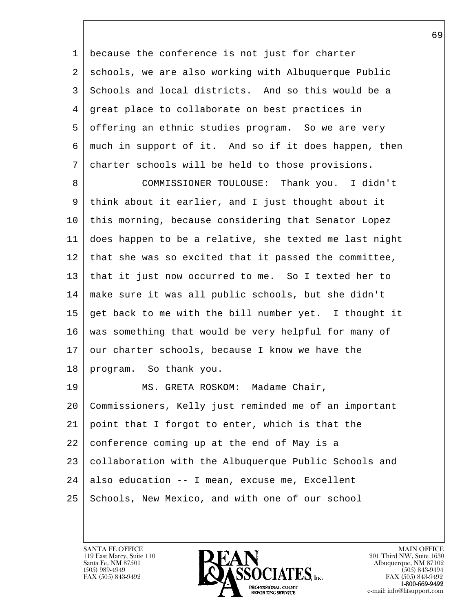1 because the conference is not just for charter 2 schools, we are also working with Albuquerque Public 3 Schools and local districts. And so this would be a 4 great place to collaborate on best practices in 5 offering an ethnic studies program. So we are very 6 much in support of it. And so if it does happen, then 7 charter schools will be held to those provisions.

 8 COMMISSIONER TOULOUSE: Thank you. I didn't 9 think about it earlier, and I just thought about it 10 this morning, because considering that Senator Lopez 11 does happen to be a relative, she texted me last night 12 that she was so excited that it passed the committee, 13 that it just now occurred to me. So I texted her to 14 make sure it was all public schools, but she didn't 15 get back to me with the bill number yet. I thought it 16 was something that would be very helpful for many of  $17$  our charter schools, because I know we have the 18 program. So thank you.

l  $\overline{\phantom{a}}$ 19 | MS. GRETA ROSKOM: Madame Chair, 20 Commissioners, Kelly just reminded me of an important 21 point that I forgot to enter, which is that the 22 conference coming up at the end of May is a 23 collaboration with the Albuquerque Public Schools and  $24$  also education -- I mean, excuse me, Excellent 25 Schools, New Mexico, and with one of our school

119 East Marcy, Suite 110<br>Santa Fe, NM 87501

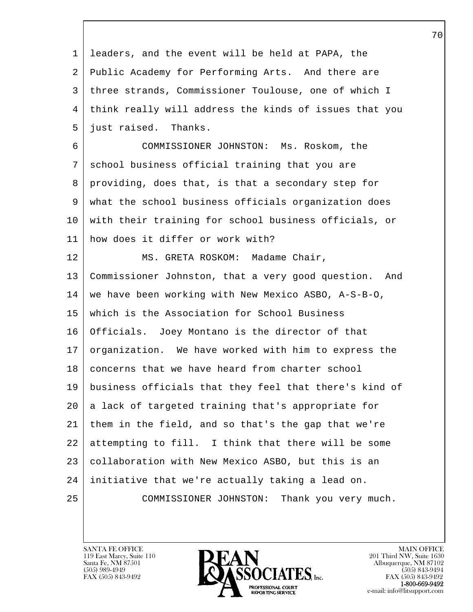| 1  | leaders, and the event will be held at PAPA, the       |
|----|--------------------------------------------------------|
| 2  | Public Academy for Performing Arts. And there are      |
| 3  | three strands, Commissioner Toulouse, one of which I   |
| 4  | think really will address the kinds of issues that you |
| 5  | just raised. Thanks.                                   |
| 6  | COMMISSIONER JOHNSTON: Ms. Roskom, the                 |
| 7  | school business official training that you are         |
| 8  | providing, does that, is that a secondary step for     |
| 9  | what the school business officials organization does   |
| 10 | with their training for school business officials, or  |
| 11 | how does it differ or work with?                       |
| 12 | MS. GRETA ROSKOM: Madame Chair,                        |
| 13 | Commissioner Johnston, that a very good question. And  |
| 14 | we have been working with New Mexico ASBO, A-S-B-O,    |
| 15 | which is the Association for School Business           |
| 16 | Officials. Joey Montano is the director of that        |
| 17 | organization. We have worked with him to express the   |
| 18 | concerns that we have heard from charter school        |
| 19 | business officials that they feel that there's kind of |
| 20 | a lack of targeted training that's appropriate for     |
| 21 | them in the field, and so that's the gap that we're    |
| 22 | attempting to fill. I think that there will be some    |
| 23 | collaboration with New Mexico ASBO, but this is an     |
| 24 | initiative that we're actually taking a lead on.       |
| 25 | Thank you very much.<br>COMMISSIONER JOHNSTON:         |
|    |                                                        |

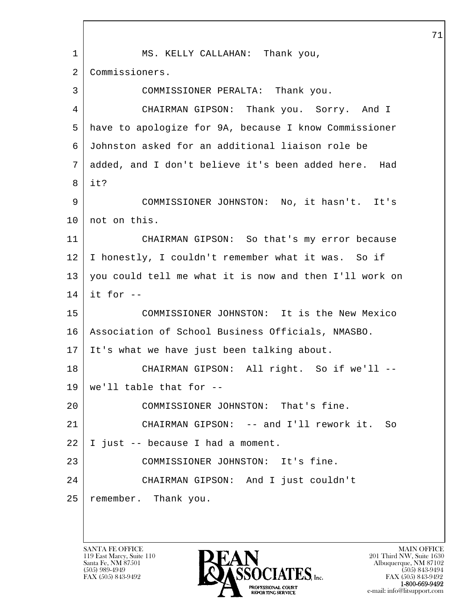l  $\overline{\phantom{a}}$  1 MS. KELLY CALLAHAN: Thank you, 2 Commissioners. 3 COMMISSIONER PERALTA: Thank you. 4 CHAIRMAN GIPSON: Thank you. Sorry. And I 5 have to apologize for 9A, because I know Commissioner 6 Johnston asked for an additional liaison role be 7 added, and I don't believe it's been added here. Had 8 it? 9 COMMISSIONER JOHNSTON: No, it hasn't. It's 10 not on this. 11 CHAIRMAN GIPSON: So that's my error because 12 I honestly, I couldn't remember what it was. So if 13 you could tell me what it is now and then I'll work on  $14$  it for  $-$ 15 COMMISSIONER JOHNSTON: It is the New Mexico 16 Association of School Business Officials, NMASBO. 17 It's what we have just been talking about. 18 CHAIRMAN GIPSON: All right. So if we'll --  $19$  we'll table that for  $-$ 20 | COMMISSIONER JOHNSTON: That's fine. 21 CHAIRMAN GIPSON: -- and I'll rework it. So 22 I just -- because I had a moment. 23 | COMMISSIONER JOHNSTON: It's fine. 24 CHAIRMAN GIPSON: And I just couldn't 25 remember. Thank you.

119 East Marcy, Suite 110<br>Santa Fe, NM 87501

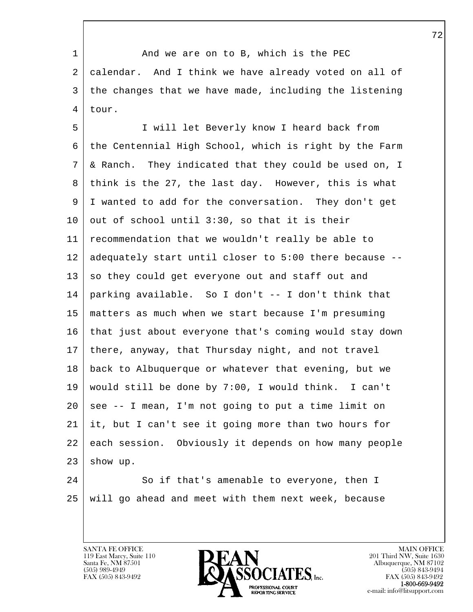1 | And we are on to B, which is the PEC 2 calendar. And I think we have already voted on all of 3 the changes that we have made, including the listening 4 tour.

 5 I will let Beverly know I heard back from 6 the Centennial High School, which is right by the Farm 7 & Ranch. They indicated that they could be used on, I 8 think is the 27, the last day. However, this is what 9 I wanted to add for the conversation. They don't get  $10$  out of school until 3:30, so that it is their 11 recommendation that we wouldn't really be able to 12 adequately start until closer to 5:00 there because --  $13$  so they could get everyone out and staff out and 14 parking available. So I don't -- I don't think that 15 matters as much when we start because I'm presuming 16 that just about everyone that's coming would stay down 17 there, anyway, that Thursday night, and not travel 18 back to Albuquerque or whatever that evening, but we 19 would still be done by 7:00, I would think. I can't  $20$  see  $-$ - I mean, I'm not going to put a time limit on 21 it, but I can't see it going more than two hours for 22 each session. Obviously it depends on how many people  $23$  show up.

 $\overline{\phantom{a}}$ 

l 24 So if that's amenable to everyone, then I 25 will go ahead and meet with them next week, because

119 East Marcy, Suite 110<br>Santa Fe, NM 87501

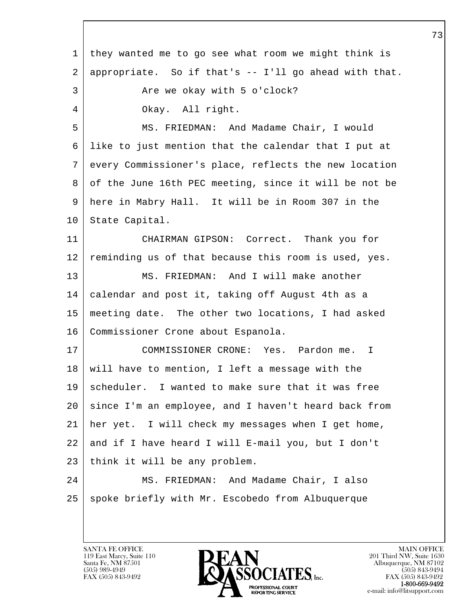l  $\overline{\phantom{a}}$  1 they wanted me to go see what room we might think is 2 appropriate. So if that's -- I'll go ahead with that. 3 Are we okay with 5 o'clock? 4 Okay. All right. 5 MS. FRIEDMAN: And Madame Chair, I would 6 like to just mention that the calendar that I put at 7 every Commissioner's place, reflects the new location 8 of the June 16th PEC meeting, since it will be not be 9 here in Mabry Hall. It will be in Room 307 in the 10 | State Capital. 11 CHAIRMAN GIPSON: Correct. Thank you for 12 reminding us of that because this room is used, yes. 13 | MS. FRIEDMAN: And I will make another 14 calendar and post it, taking off August 4th as a 15 meeting date. The other two locations, I had asked 16 | Commissioner Crone about Espanola. 17 COMMISSIONER CRONE: Yes. Pardon me. I 18 will have to mention, I left a message with the 19 scheduler. I wanted to make sure that it was free 20 since I'm an employee, and I haven't heard back from 21 her yet. I will check my messages when I get home, 22 and if I have heard I will E-mail you, but I don't 23 | think it will be any problem. 24 | MS. FRIEDMAN: And Madame Chair, I also 25 | spoke briefly with Mr. Escobedo from Albuquerque

119 East Marcy, Suite 110<br>Santa Fe, NM 87501

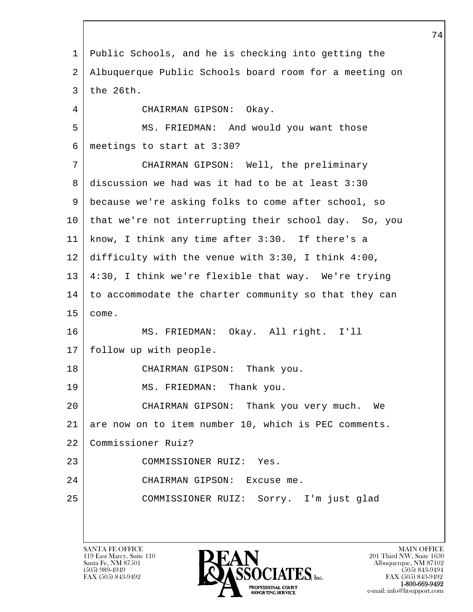l  $\overline{\phantom{a}}$  1 Public Schools, and he is checking into getting the 2 Albuquerque Public Schools board room for a meeting on 3 the 26th. 4 CHAIRMAN GIPSON: Okay. 5 MS. FRIEDMAN: And would you want those 6 meetings to start at 3:30? 7 CHAIRMAN GIPSON: Well, the preliminary 8 discussion we had was it had to be at least 3:30 9 because we're asking folks to come after school, so 10 that we're not interrupting their school day. So, you 11 know, I think any time after 3:30. If there's a 12 difficulty with the venue with 3:30, I think 4:00, 13 4:30, I think we're flexible that way. We're trying 14 to accommodate the charter community so that they can 15 come. 16 MS. FRIEDMAN: Okay. All right. I'll 17 follow up with people. 18 CHAIRMAN GIPSON: Thank you. 19 MS. FRIEDMAN: Thank you. 20 CHAIRMAN GIPSON: Thank you very much. We 21 are now on to item number 10, which is PEC comments. 22 Commissioner Ruiz? 23 COMMISSIONER RUIZ: Yes. 24 CHAIRMAN GIPSON: Excuse me. 25 COMMISSIONER RUIZ: Sorry. I'm just glad

119 East Marcy, Suite 110<br>Santa Fe, NM 87501

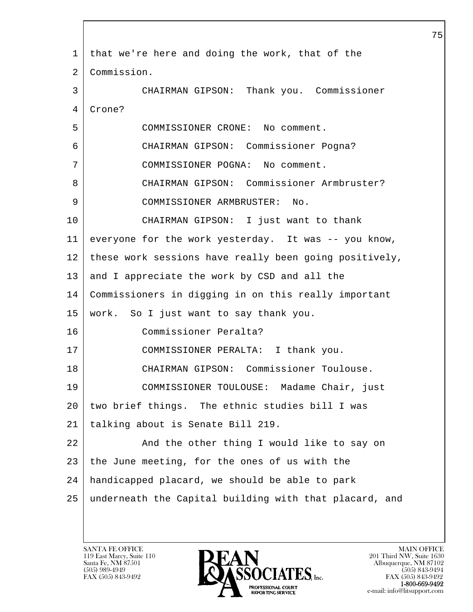| 1  | that we're here and doing the work, that of the        |
|----|--------------------------------------------------------|
| 2  | Commission.                                            |
| 3  | CHAIRMAN GIPSON: Thank you. Commissioner               |
| 4  | Crone?                                                 |
| 5  | COMMISSIONER CRONE: No comment.                        |
| 6  | CHAIRMAN GIPSON: Commissioner Pogna?                   |
| 7  | COMMISSIONER POGNA: No comment.                        |
| 8  | CHAIRMAN GIPSON: Commissioner Armbruster?              |
| 9  | COMMISSIONER ARMBRUSTER: No.                           |
| 10 | CHAIRMAN GIPSON: I just want to thank                  |
| 11 | everyone for the work yesterday. It was -- you know,   |
| 12 | these work sessions have really been going positively, |
| 13 | and I appreciate the work by CSD and all the           |
| 14 | Commissioners in digging in on this really important   |
| 15 | work. So I just want to say thank you.                 |
| 16 | Commissioner Peralta?                                  |
| 17 | COMMISSIONER PERALTA: I thank you.                     |
| 18 | CHAIRMAN GIPSON: Commissioner Toulouse.                |
| 19 | COMMISSIONER TOULOUSE: Madame Chair, just              |
| 20 | two brief things. The ethnic studies bill I was        |
| 21 | talking about is Senate Bill 219.                      |
| 22 | And the other thing I would like to say on             |
| 23 | the June meeting, for the ones of us with the          |
| 24 | handicapped placard, we should be able to park         |
| 25 | underneath the Capital building with that placard, and |
|    |                                                        |

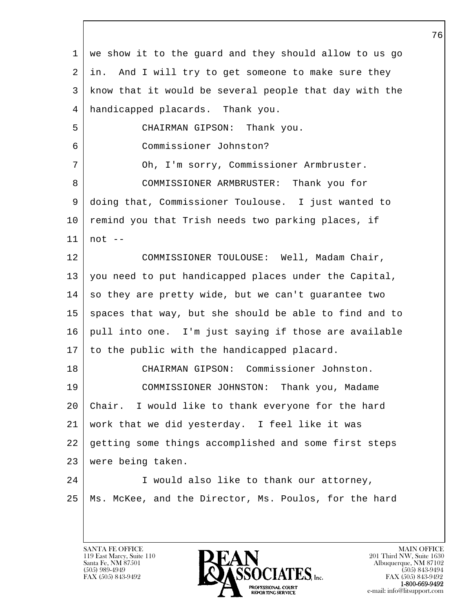| 1       | we show it to the guard and they should allow to us go |
|---------|--------------------------------------------------------|
| 2       | in. And I will try to get someone to make sure they    |
| 3       | know that it would be several people that day with the |
| 4       | handicapped placards. Thank you.                       |
| 5       | CHAIRMAN GIPSON: Thank you.                            |
| 6       | Commissioner Johnston?                                 |
| 7       | Oh, I'm sorry, Commissioner Armbruster.                |
| 8       | COMMISSIONER ARMBRUSTER: Thank you for                 |
| 9       | doing that, Commissioner Toulouse. I just wanted to    |
| $10 \,$ | remind you that Trish needs two parking places, if     |
| 11      | $not --$                                               |
| 12      | COMMISSIONER TOULOUSE: Well, Madam Chair,              |
| 13      | you need to put handicapped places under the Capital,  |
| 14      | so they are pretty wide, but we can't guarantee two    |
| 15      | spaces that way, but she should be able to find and to |
| 16      | pull into one. I'm just saying if those are available  |
| 17      | to the public with the handicapped placard.            |
| 18      | CHAIRMAN GIPSON: Commissioner Johnston.                |
| 19      | COMMISSIONER JOHNSTON: Thank you, Madame               |
| 20      | Chair. I would like to thank everyone for the hard     |
| 21      | work that we did yesterday. I feel like it was         |
| 22      | getting some things accomplished and some first steps  |
| 23      | were being taken.                                      |
| 24      | I would also like to thank our attorney,               |
| 25      | Ms. McKee, and the Director, Ms. Poulos, for the hard  |
|         |                                                        |

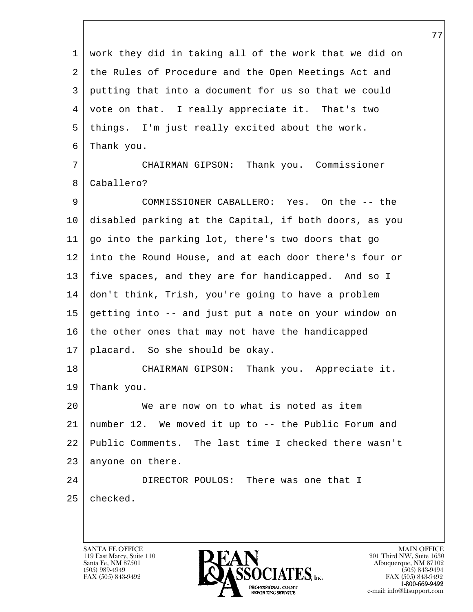l  $\overline{\phantom{a}}$  1 work they did in taking all of the work that we did on 2 the Rules of Procedure and the Open Meetings Act and 3 putting that into a document for us so that we could 4 vote on that. I really appreciate it. That's two 5 things. I'm just really excited about the work. 6 Thank you. 7 CHAIRMAN GIPSON: Thank you. Commissioner 8 Caballero? 9 COMMISSIONER CABALLERO: Yes. On the -- the 10 disabled parking at the Capital, if both doors, as you 11 go into the parking lot, there's two doors that go 12 into the Round House, and at each door there's four or 13 five spaces, and they are for handicapped. And so I 14 don't think, Trish, you're going to have a problem 15 getting into -- and just put a note on your window on 16 the other ones that may not have the handicapped 17 placard. So she should be okay. 18 | CHAIRMAN GIPSON: Thank you. Appreciate it. 19 Thank you. 20 We are now on to what is noted as item 21 number 12. We moved it up to -- the Public Forum and 22 Public Comments. The last time I checked there wasn't 23 anyone on there. 24 DIRECTOR POULOS: There was one that I 25 checked.

119 East Marcy, Suite 110<br>Santa Fe, NM 87501



FAX (505) 843-9492 FAX (505) 843-9492 e-mail: info@litsupport.com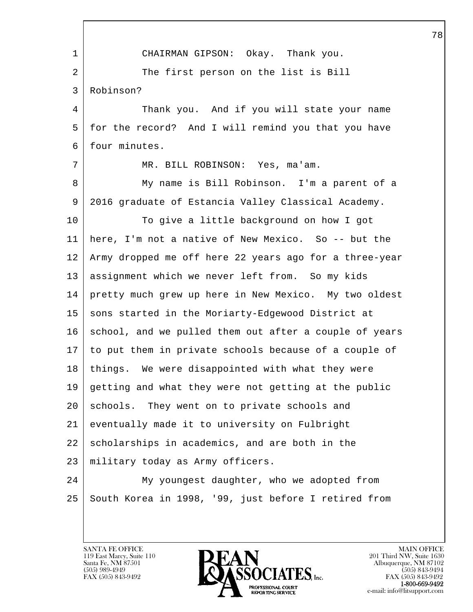l  $\overline{\phantom{a}}$  1 CHAIRMAN GIPSON: Okay. Thank you. 2 The first person on the list is Bill 3 Robinson? 4 Thank you. And if you will state your name 5 for the record? And I will remind you that you have 6 four minutes. 7 MR. BILL ROBINSON: Yes, ma'am. 8 My name is Bill Robinson. I'm a parent of a 9 2016 graduate of Estancia Valley Classical Academy. 10 To give a little background on how I got 11 here, I'm not a native of New Mexico. So -- but the 12 Army dropped me off here 22 years ago for a three-year 13 | assignment which we never left from. So my kids 14 pretty much grew up here in New Mexico. My two oldest 15 | sons started in the Moriarty-Edgewood District at 16 school, and we pulled them out after a couple of years 17 to put them in private schools because of a couple of 18 | things. We were disappointed with what they were 19 getting and what they were not getting at the public 20 | schools. They went on to private schools and 21 eventually made it to university on Fulbright  $22$  scholarships in academics, and are both in the 23 military today as Army officers. 24 My youngest daughter, who we adopted from 25 South Korea in 1998, '99, just before I retired from

119 East Marcy, Suite 110<br>Santa Fe, NM 87501

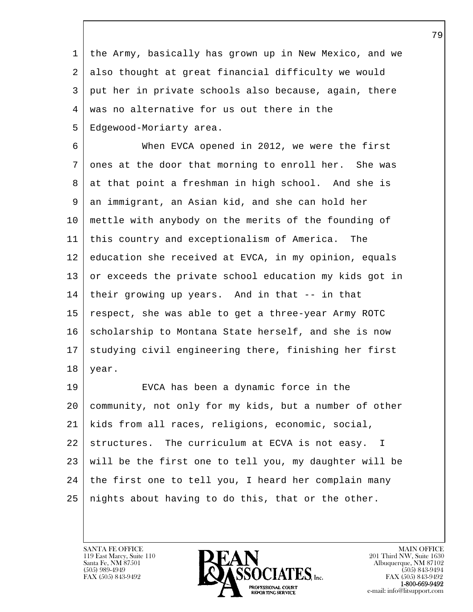1 the Army, basically has grown up in New Mexico, and we 2 also thought at great financial difficulty we would 3 put her in private schools also because, again, there 4 was no alternative for us out there in the 5 | Edgewood-Moriarty area.

 6 When EVCA opened in 2012, we were the first 7 ones at the door that morning to enroll her. She was 8 at that point a freshman in high school. And she is 9 an immigrant, an Asian kid, and she can hold her 10 mettle with anybody on the merits of the founding of 11 this country and exceptionalism of America. The 12 education she received at EVCA, in my opinion, equals 13 or exceeds the private school education my kids got in 14 their growing up years. And in that -- in that 15 respect, she was able to get a three-year Army ROTC 16 scholarship to Montana State herself, and she is now 17 | studying civil engineering there, finishing her first  $18$  year.

l 19 EVCA has been a dynamic force in the 20 community, not only for my kids, but a number of other 21 kids from all races, religions, economic, social, 22 structures. The curriculum at ECVA is not easy. I 23 will be the first one to tell you, my daughter will be  $24$  the first one to tell you, I heard her complain many  $25$  | nights about having to do this, that or the other.

 $\overline{\phantom{a}}$ 

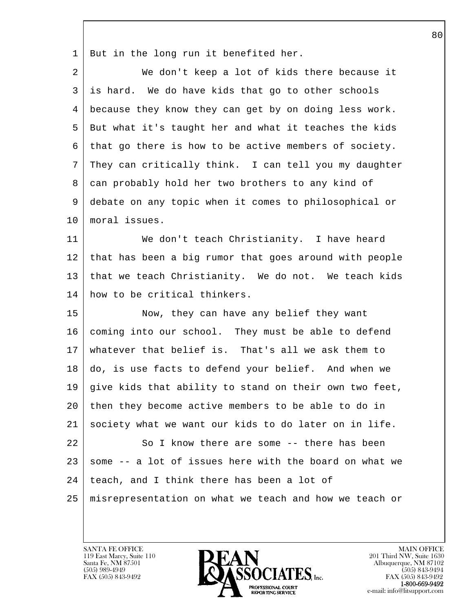1 But in the long run it benefited her.

| 2  | We don't keep a lot of kids there because it           |
|----|--------------------------------------------------------|
| 3  | is hard. We do have kids that go to other schools      |
| 4  | because they know they can get by on doing less work.  |
| 5  | But what it's taught her and what it teaches the kids  |
| 6  | that go there is how to be active members of society.  |
| 7  | They can critically think. I can tell you my daughter  |
| 8  | can probably hold her two brothers to any kind of      |
| 9  | debate on any topic when it comes to philosophical or  |
| 10 | moral issues.                                          |
| 11 | We don't teach Christianity. I have heard              |
| 12 | that has been a big rumor that goes around with people |
| 13 | that we teach Christianity. We do not. We teach kids   |
| 14 | how to be critical thinkers.                           |
| 15 | Now, they can have any belief they want                |
| 16 | coming into our school. They must be able to defend    |
| 17 | whatever that belief is. That's all we ask them to     |
| 18 | do, is use facts to defend your belief. And when we    |
| 19 | give kids that ability to stand on their own two feet, |
| 20 | then they become active members to be able to do in    |
| 21 | society what we want our kids to do later on in life.  |
| 22 | So I know there are some -- there has been             |
| 23 | some -- a lot of issues here with the board on what we |
| 24 | teach, and I think there has been a lot of             |
| 25 | misrepresentation on what we teach and how we teach or |

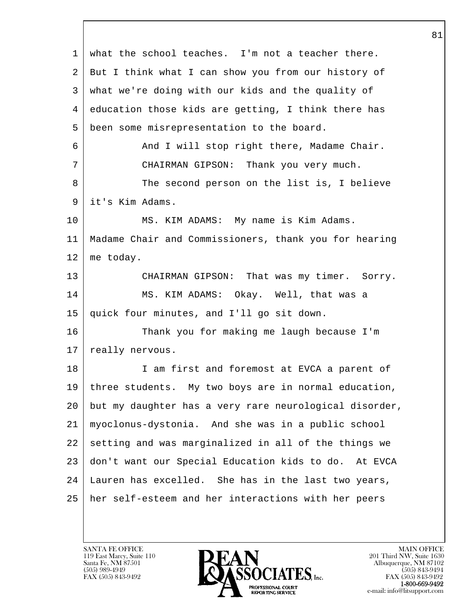l  $\overline{\phantom{a}}$  1 what the school teaches. I'm not a teacher there. 2 But I think what I can show you from our history of 3 what we're doing with our kids and the quality of 4 education those kids are getting, I think there has 5 been some misrepresentation to the board. 6 And I will stop right there, Madame Chair. 7 CHAIRMAN GIPSON: Thank you very much. 8 The second person on the list is, I believe 9 it's Kim Adams. 10 MS. KIM ADAMS: My name is Kim Adams. 11 Madame Chair and Commissioners, thank you for hearing 12 me today. 13 CHAIRMAN GIPSON: That was my timer. Sorry. 14 MS. KIM ADAMS: Okay. Well, that was a 15 quick four minutes, and I'll go sit down. 16 Thank you for making me laugh because I'm 17 | really nervous. 18 | I am first and foremost at EVCA a parent of 19 three students. My two boys are in normal education, 20 but my daughter has a very rare neurological disorder, 21 myoclonus-dystonia. And she was in a public school 22 setting and was marginalized in all of the things we 23 don't want our Special Education kids to do. At EVCA 24 Lauren has excelled. She has in the last two years, 25 her self-esteem and her interactions with her peers

119 East Marcy, Suite 110<br>Santa Fe, NM 87501

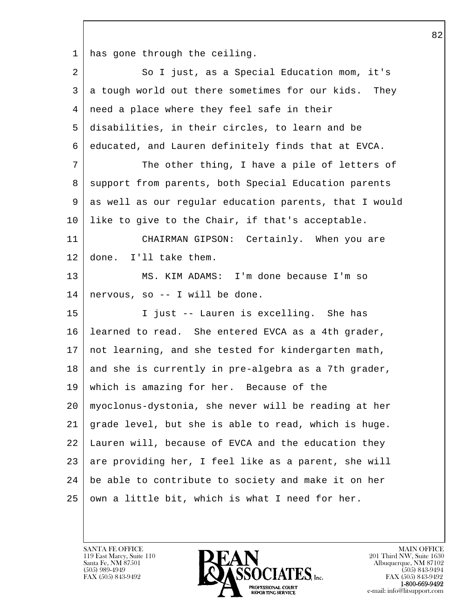1 has gone through the ceiling.

| 2  | So I just, as a Special Education mom, it's            |
|----|--------------------------------------------------------|
| 3  | a tough world out there sometimes for our kids. They   |
| 4  | need a place where they feel safe in their             |
| 5  | disabilities, in their circles, to learn and be        |
| 6  | educated, and Lauren definitely finds that at EVCA.    |
| 7  | The other thing, I have a pile of letters of           |
| 8  | support from parents, both Special Education parents   |
| 9  | as well as our regular education parents, that I would |
| 10 | like to give to the Chair, if that's acceptable.       |
| 11 | CHAIRMAN GIPSON: Certainly. When you are               |
| 12 | done. I'll take them.                                  |
| 13 | MS. KIM ADAMS: I'm done because I'm so                 |
| 14 | nervous, so -- I will be done.                         |
| 15 | I just -- Lauren is excelling. She has                 |
| 16 | learned to read. She entered EVCA as a 4th grader,     |
| 17 | not learning, and she tested for kindergarten math,    |
| 18 | and she is currently in pre-algebra as a 7th grader,   |
| 19 | which is amazing for her. Because of the               |
| 20 | myoclonus-dystonia, she never will be reading at her   |
| 21 | grade level, but she is able to read, which is huge.   |
| 22 | Lauren will, because of EVCA and the education they    |
| 23 | are providing her, I feel like as a parent, she will   |
| 24 | be able to contribute to society and make it on her    |
| 25 | own a little bit, which is what I need for her.        |

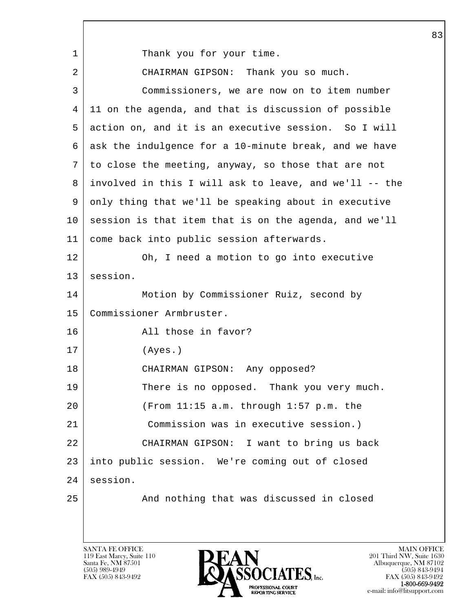l  $\overline{\phantom{a}}$ 1 Thank you for your time. 2 CHAIRMAN GIPSON: Thank you so much. 3 Commissioners, we are now on to item number 4 11 on the agenda, and that is discussion of possible 5 action on, and it is an executive session. So I will 6 ask the indulgence for a 10-minute break, and we have 7 to close the meeting, anyway, so those that are not 8 involved in this I will ask to leave, and we'll -- the 9 only thing that we'll be speaking about in executive 10 session is that item that is on the agenda, and we'll 11 come back into public session afterwards. 12 Oh, I need a motion to go into executive 13 | session. 14 Motion by Commissioner Ruiz, second by 15 Commissioner Armbruster. 16 All those in favor? 17 (Ayes.) 18 CHAIRMAN GIPSON: Any opposed? 19 There is no opposed. Thank you very much. 20 (From 11:15 a.m. through 1:57 p.m. the 21 Commission was in executive session.) 22 CHAIRMAN GIPSON: I want to bring us back 23 into public session. We're coming out of closed 24 session. 25 And nothing that was discussed in closed

119 East Marcy, Suite 110<br>Santa Fe, NM 87501

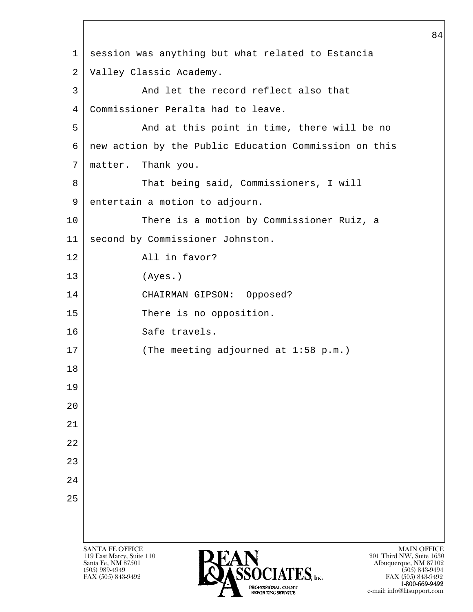l  $\overline{\phantom{a}}$ SANTA FE OFFICE MAIN OFFICE MAIN OFFICE MAIN OFFICE MAIN OFFICE 119 East Marcy, Suite 110<br>Santa Fe, NM 87501 Santa Fe, NM 87501 Albuquerque, NM 87102 1 session was anything but what related to Estancia 2 Valley Classic Academy. 3 And let the record reflect also that 4 Commissioner Peralta had to leave. 5 And at this point in time, there will be no 6 new action by the Public Education Commission on this 7 matter. Thank you. 8 That being said, Commissioners, I will 9 entertain a motion to adjourn. 10 There is a motion by Commissioner Ruiz, a 11 second by Commissioner Johnston. 12 All in favor? 13 (Ayes.) 14 CHAIRMAN GIPSON: Opposed? 15 There is no opposition. 16 Safe travels. 17 (The meeting adjourned at 1:58 p.m.) 18 19 20 21 22 23 24 25



FAX (505) 843-9492 FAX (505) 843-9492